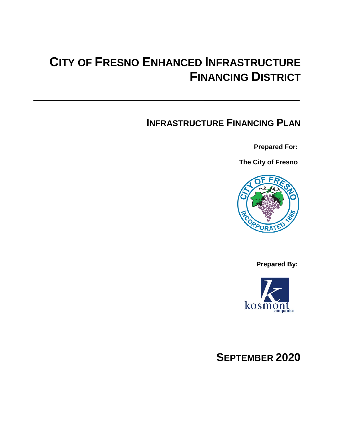### **CITY OF FRESNO ENHANCED INFRASTRUCTURE FINANCING DISTRICT**

### **INFRASTRUCTURE FINANCING PLAN**

**Prepared For:**

**The City of Fresno**



**Prepared By:**



### **SEPTEMBER 2020**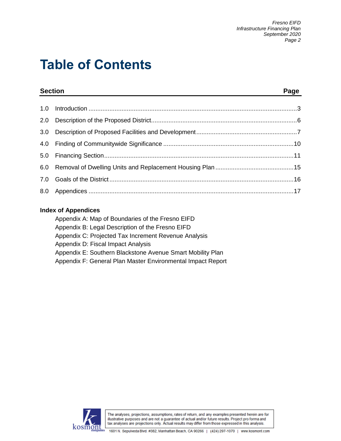# **Table of Contents**

|     | <b>Section</b><br>and the control of the control of the control of the control of the control of the control of the control of the | Page |
|-----|------------------------------------------------------------------------------------------------------------------------------------|------|
| 1.0 |                                                                                                                                    |      |
| 2.0 |                                                                                                                                    |      |
| 3.0 |                                                                                                                                    |      |
|     |                                                                                                                                    |      |
| 5.0 |                                                                                                                                    |      |
|     |                                                                                                                                    |      |
|     |                                                                                                                                    |      |
|     |                                                                                                                                    |      |

### **Index of Appendices**

| Appendix A: Map of Boundaries of the Fresno EIFD            |
|-------------------------------------------------------------|
| Appendix B: Legal Description of the Fresno EIFD            |
| Appendix C: Projected Tax Increment Revenue Analysis        |
| Appendix D: Fiscal Impact Analysis                          |
| Appendix E: Southern Blackstone Avenue Smart Mobility Plan  |
| Appendix F: General Plan Master Environmental Impact Report |

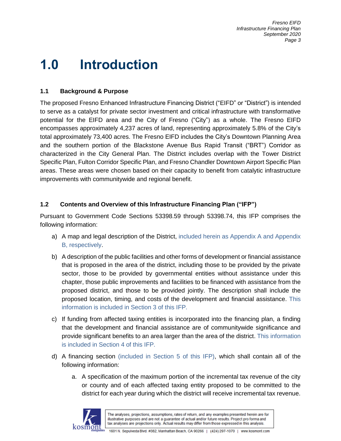# **1.0 Introduction**

### **1.1 Background & Purpose**

The proposed Fresno Enhanced Infrastructure Financing District ("EIFD" or "District") is intended to serve as a catalyst for private sector investment and critical infrastructure with transformative potential for the EIFD area and the City of Fresno ("City") as a whole. The Fresno EIFD encompasses approximately 4,237 acres of land, representing approximately 5.8% of the City's total approximately 73,400 acres. The Fresno EIFD includes the City's Downtown Planning Area and the southern portion of the Blackstone Avenue Bus Rapid Transit ("BRT") Corridor as characterized in the City General Plan. The District includes overlap with the Tower District Specific Plan, Fulton Corridor Specific Plan, and Fresno Chandler Downtown Airport Specific Plan areas. These areas were chosen based on their capacity to benefit from catalytic infrastructure improvements with communitywide and regional benefit.

### **1.2 Contents and Overview of this Infrastructure Financing Plan ("IFP")**

Pursuant to Government Code Sections 53398.59 through 53398.74, this IFP comprises the following information:

- a) A map and legal description of the District, included herein as Appendix A and Appendix B, respectively.
- b) A description of the public facilities and other forms of development or financial assistance that is proposed in the area of the district, including those to be provided by the private sector, those to be provided by governmental entities without assistance under this chapter, those public improvements and facilities to be financed with assistance from the proposed district, and those to be provided jointly. The description shall include the proposed location, timing, and costs of the development and financial assistance. This information is included in Section 3 of this IFP.
- c) If funding from affected taxing entities is incorporated into the financing plan, a finding that the development and financial assistance are of communitywide significance and provide significant benefits to an area larger than the area of the district. This information is included in Section 4 of this IFP.
- d) A financing section (included in Section 5 of this IFP), which shall contain all of the following information:
	- a. A specification of the maximum portion of the incremental tax revenue of the city or county and of each affected taxing entity proposed to be committed to the district for each year during which the district will receive incremental tax revenue.

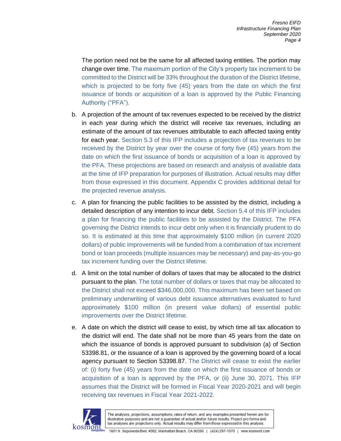The portion need not be the same for all affected taxing entities. The portion may change over time. The maximum portion of the City's property tax increment to be committed to the District will be 33% throughout the duration of the District lifetime, which is projected to be forty five (45) years from the date on which the first issuance of bonds or acquisition of a loan is approved by the Public Financing Authority ("PFA").

- b. A projection of the amount of tax revenues expected to be received by the district in each year during which the district will receive tax revenues, including an estimate of the amount of tax revenues attributable to each affected taxing entity for each year. Section 5.3 of this IFP includes a projection of tax revenues to be received by the District by year over the course of forty five (45) years from the date on which the first issuance of bonds or acquisition of a loan is approved by the PFA. These projections are based on research and analysis of available data at the time of IFP preparation for purposes of illustration. Actual results may differ from those expressed in this document. Appendix C provides additional detail for the projected revenue analysis.
- c. A plan for financing the public facilities to be assisted by the district, including a detailed description of any intention to incur debt. Section 5.4 of this IFP includes a plan for financing the public facilities to be assisted by the District. The PFA governing the District intends to incur debt only when it is financially prudent to do so. It is estimated at this time that approximately \$100 million (in current 2020 dollars) of public improvements will be funded from a combination of tax increment bond or loan proceeds (multiple issuances may be necessary) and pay-as-you-go tax increment funding over the District lifetime.
- d. A limit on the total number of dollars of taxes that may be allocated to the district pursuant to the plan. The total number of dollars or taxes that may be allocated to the District shall not exceed \$346,000,000. This maximum has been set based on preliminary underwriting of various debt issuance alternatives evaluated to fund approximately \$100 million (in present value dollars) of essential public improvements over the District lifetime.
- e. A date on which the district will cease to exist, by which time all tax allocation to the district will end. The date shall not be more than 45 years from the date on which the issuance of bonds is approved pursuant to subdivision (a) of Section 53398.81, or the issuance of a loan is approved by the governing board of a local agency pursuant to Section 53398.87. The District will cease to exist the earlier of: (i) forty five (45) years from the date on which the first issuance of bonds or acquisition of a loan is approved by the PFA, or (ii) June 30, 2071. This IFP assumes that the District will be formed in Fiscal Year 2020-2021 and will begin receiving tax revenues in Fiscal Year 2021-2022.

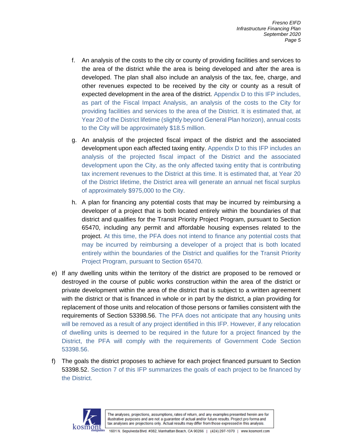- f. An analysis of the costs to the city or county of providing facilities and services to the area of the district while the area is being developed and after the area is developed. The plan shall also include an analysis of the tax, fee, charge, and other revenues expected to be received by the city or county as a result of expected development in the area of the district. Appendix D to this IFP includes, as part of the Fiscal Impact Analysis, an analysis of the costs to the City for providing facilities and services to the area of the District. It is estimated that, at Year 20 of the District lifetime (slightly beyond General Plan horizon), annual costs to the City will be approximately \$18.5 million.
- g. An analysis of the projected fiscal impact of the district and the associated development upon each affected taxing entity. Appendix D to this IFP includes an analysis of the projected fiscal impact of the District and the associated development upon the City, as the only affected taxing entity that is contributing tax increment revenues to the District at this time. It is estimated that, at Year 20 of the District lifetime, the District area will generate an annual net fiscal surplus of approximately \$975,000 to the City.
- h. A plan for financing any potential costs that may be incurred by reimbursing a developer of a project that is both located entirely within the boundaries of that district and qualifies for the Transit Priority Project Program, pursuant to Section 65470, including any permit and affordable housing expenses related to the project. At this time, the PFA does not intend to finance any potential costs that may be incurred by reimbursing a developer of a project that is both located entirely within the boundaries of the District and qualifies for the Transit Priority Project Program, pursuant to Section 65470.
- e) If any dwelling units within the territory of the district are proposed to be removed or destroyed in the course of public works construction within the area of the district or private development within the area of the district that is subject to a written agreement with the district or that is financed in whole or in part by the district, a plan providing for replacement of those units and relocation of those persons or families consistent with the requirements of Section 53398.56. The PFA does not anticipate that any housing units will be removed as a result of any project identified in this IFP. However, if any relocation of dwelling units is deemed to be required in the future for a project financed by the District, the PFA will comply with the requirements of Government Code Section 53398.56.
- f) The goals the district proposes to achieve for each project financed pursuant to Section 53398.52. Section 7 of this IFP summarizes the goals of each project to be financed by the District.

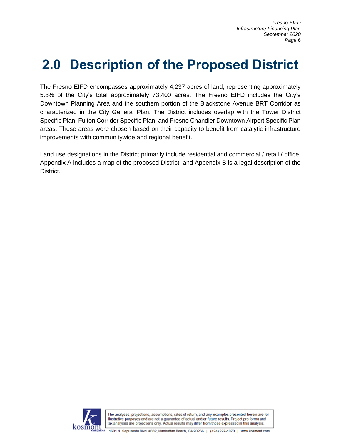# **2.0 Description of the Proposed District**

The Fresno EIFD encompasses approximately 4,237 acres of land, representing approximately 5.8% of the City's total approximately 73,400 acres. The Fresno EIFD includes the City's Downtown Planning Area and the southern portion of the Blackstone Avenue BRT Corridor as characterized in the City General Plan. The District includes overlap with the Tower District Specific Plan, Fulton Corridor Specific Plan, and Fresno Chandler Downtown Airport Specific Plan areas. These areas were chosen based on their capacity to benefit from catalytic infrastructure improvements with communitywide and regional benefit.

Land use designations in the District primarily include residential and commercial / retail / office. Appendix A includes a map of the proposed District, and Appendix B is a legal description of the District.

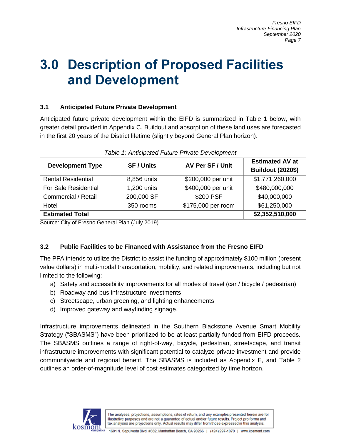## **3.0 Description of Proposed Facilities and Development**

### **3.1 Anticipated Future Private Development**

Anticipated future private development within the EIFD is summarized in Table 1 below, with greater detail provided in Appendix C. Buildout and absorption of these land uses are forecasted in the first 20 years of the District lifetime (slightly beyond General Plan horizon).

| <b>Development Type</b>     | <b>SF/Units</b> | AV Per SF / Unit   | <b>Estimated AV at</b><br><b>Buildout (2020\$)</b> |  |  |
|-----------------------------|-----------------|--------------------|----------------------------------------------------|--|--|
| <b>Rental Residential</b>   | 8,856 units     | \$200,000 per unit | \$1,771,260,000                                    |  |  |
| <b>For Sale Residential</b> | 1,200 units     | \$400,000 per unit | \$480,000,000                                      |  |  |
| Commercial / Retail         | 200,000 SF      | \$200 PSF          | \$40,000,000                                       |  |  |
| Hotel                       | 350 rooms       | \$175,000 per room | \$61,250,000                                       |  |  |
| <b>Estimated Total</b>      |                 |                    | \$2,352,510,000                                    |  |  |

*Table 1: Anticipated Future Private Development*

Source: City of Fresno General Plan (July 2019)

### **3.2 Public Facilities to be Financed with Assistance from the Fresno EIFD**

The PFA intends to utilize the District to assist the funding of approximately \$100 million (present value dollars) in multi-modal transportation, mobility, and related improvements, including but not limited to the following:

- a) Safety and accessibility improvements for all modes of travel (car / bicycle / pedestrian)
- b) Roadway and bus infrastructure investments
- c) Streetscape, urban greening, and lighting enhancements
- d) Improved gateway and wayfinding signage.

Infrastructure improvements delineated in the Southern Blackstone Avenue Smart Mobility Strategy ("SBASMS") have been prioritized to be at least partially funded from EIFD proceeds. The SBASMS outlines a range of right-of-way, bicycle, pedestrian, streetscape, and transit infrastructure improvements with significant potential to catalyze private investment and provide communitywide and regional benefit. The SBASMS is included as Appendix E, and Table 2 outlines an order-of-magnitude level of cost estimates categorized by time horizon.

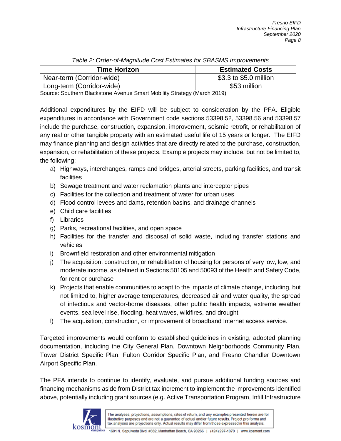| rapid E. Oraci or magintage occi Ecumatos for OD, formo improvemento |                        |  |  |  |  |  |  |
|----------------------------------------------------------------------|------------------------|--|--|--|--|--|--|
| <b>Time Horizon</b>                                                  | <b>Estimated Costs</b> |  |  |  |  |  |  |
| Near-term (Corridor-wide)                                            | \$3.3 to \$5.0 million |  |  |  |  |  |  |
| Long-term (Corridor-wide)                                            | \$53 million           |  |  |  |  |  |  |

|  | Table 2: Order-of-Magnitude Cost Estimates for SBASMS Improvements |  |
|--|--------------------------------------------------------------------|--|
|  |                                                                    |  |

Source: Southern Blackstone Avenue Smart Mobility Strategy (March 2019)

Additional expenditures by the EIFD will be subject to consideration by the PFA. Eligible expenditures in accordance with Government code sections 53398.52, 53398.56 and 53398.57 include the purchase, construction, expansion, improvement, seismic retrofit, or rehabilitation of any real or other tangible property with an estimated useful life of 15 years or longer. The EIFD may finance planning and design activities that are directly related to the purchase, construction, expansion, or rehabilitation of these projects. Example projects may include, but not be limited to, the following:

- a) Highways, interchanges, ramps and bridges, arterial streets, parking facilities, and transit facilities
- b) Sewage treatment and water reclamation plants and interceptor pipes
- c) Facilities for the collection and treatment of water for urban uses
- d) Flood control levees and dams, retention basins, and drainage channels
- e) Child care facilities
- f) Libraries
- g) Parks, recreational facilities, and open space
- h) Facilities for the transfer and disposal of solid waste, including transfer stations and vehicles
- i) Brownfield restoration and other environmental mitigation
- j) The acquisition, construction, or rehabilitation of housing for persons of very low, low, and moderate income, as defined in Sections 50105 and 50093 of the Health and Safety Code, for rent or purchase
- k) Projects that enable communities to adapt to the impacts of climate change, including, but not limited to, higher average temperatures, decreased air and water quality, the spread of infectious and vector-borne diseases, other public health impacts, extreme weather events, sea level rise, flooding, heat waves, wildfires, and drought
- l) The acquisition, construction, or improvement of broadband Internet access service.

Targeted improvements would conform to established guidelines in existing, adopted planning documentation, including the City General Plan, Downtown Neighborhoods Community Plan, Tower District Specific Plan, Fulton Corridor Specific Plan, and Fresno Chandler Downtown Airport Specific Plan.

The PFA intends to continue to identify, evaluate, and pursue additional funding sources and financing mechanisms aside from District tax increment to implement the improvements identified above, potentially including grant sources (e.g. Active Transportation Program, Infill Infrastructure

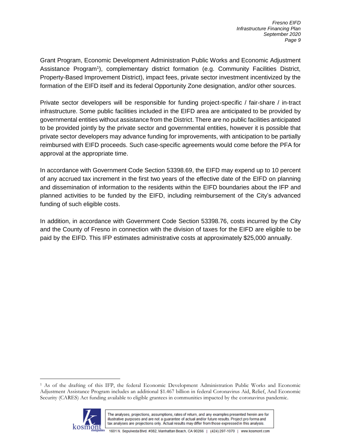Grant Program, Economic Development Administration Public Works and Economic Adjustment Assistance Program<sup>1</sup>), complementary district formation (e.g. Community Facilities District, Property-Based Improvement District), impact fees, private sector investment incentivized by the formation of the EIFD itself and its federal Opportunity Zone designation, and/or other sources.

Private sector developers will be responsible for funding project-specific / fair-share / in-tract infrastructure. Some public facilities included in the EIFD area are anticipated to be provided by governmental entities without assistance from the District. There are no public facilities anticipated to be provided jointly by the private sector and governmental entities, however it is possible that private sector developers may advance funding for improvements, with anticipation to be partially reimbursed with EIFD proceeds. Such case-specific agreements would come before the PFA for approval at the appropriate time.

In accordance with Government Code Section 53398.69, the EIFD may expend up to 10 percent of any accrued tax increment in the first two years of the effective date of the EIFD on planning and dissemination of information to the residents within the EIFD boundaries about the IFP and planned activities to be funded by the EIFD, including reimbursement of the City's advanced funding of such eligible costs.

In addition, in accordance with Government Code Section 53398.76, costs incurred by the City and the County of Fresno in connection with the division of taxes for the EIFD are eligible to be paid by the EIFD. This IFP estimates administrative costs at approximately \$25,000 annually.

<sup>1</sup> As of the drafting of this IFP, the federal Economic Development Administration Public Works and Economic Adjustment Assistance Program includes an additional \$1.467 billion in federal Coronavirus Aid, Relief, And Economic Security (CARES) Act funding available to eligible grantees in communities impacted by the coronavirus pandemic.



 $\overline{a}$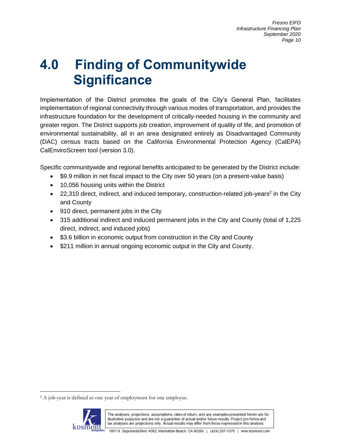# **4.0 Finding of Communitywide Significance**

Implementation of the District promotes the goals of the City's General Plan, facilitates implementation of regional connectivity through various modes of transportation, and provides the infrastructure foundation for the development of critically-needed housing in the community and greater region. The District supports job creation, improvement of quality of life, and promotion of environmental sustainability, all in an area designated entirely as Disadvantaged Community (DAC) census tracts based on the California Environmental Protection Agency (CalEPA) CalEnviroScreen tool (version 3.0).

Specific communitywide and regional benefits anticipated to be generated by the District include:

- \$9.9 million in net fiscal impact to the City over 50 years (on a present-value basis)
- 10,056 housing units within the District
- 22,310 direct, indirect, and induced temporary, construction-related job-years<sup>2</sup> in the City and County
- 910 direct, permanent jobs in the City
- 315 additional indirect and induced permanent jobs in the City and County (total of 1,225 direct, indirect, and induced jobs)
- \$3.6 billion in economic output from construction in the City and County
- \$211 million in annual ongoing economic output in the City and County.

<sup>&</sup>lt;sup>2</sup> A job-year is defined as one year of employment for one employee.



 $\overline{a}$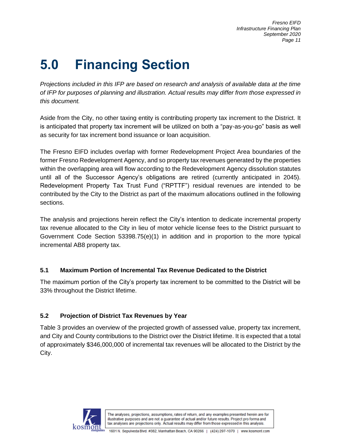# **5.0 Financing Section**

*Projections included in this IFP are based on research and analysis of available data at the time of IFP for purposes of planning and illustration. Actual results may differ from those expressed in this document.*

Aside from the City, no other taxing entity is contributing property tax increment to the District. It is anticipated that property tax increment will be utilized on both a "pay-as-you-go" basis as well as security for tax increment bond issuance or loan acquisition.

The Fresno EIFD includes overlap with former Redevelopment Project Area boundaries of the former Fresno Redevelopment Agency, and so property tax revenues generated by the properties within the overlapping area will flow according to the Redevelopment Agency dissolution statutes until all of the Successor Agency's obligations are retired (currently anticipated in 2045). Redevelopment Property Tax Trust Fund ("RPTTF") residual revenues are intended to be contributed by the City to the District as part of the maximum allocations outlined in the following sections.

The analysis and projections herein reflect the City's intention to dedicate incremental property tax revenue allocated to the City in lieu of motor vehicle license fees to the District pursuant to Government Code Section 53398.75(e)(1) in addition and in proportion to the more typical incremental AB8 property tax.

### **5.1 Maximum Portion of Incremental Tax Revenue Dedicated to the District**

The maximum portion of the City's property tax increment to be committed to the District will be 33% throughout the District lifetime.

### **5.2 Projection of District Tax Revenues by Year**

Table 3 provides an overview of the projected growth of assessed value, property tax increment, and City and County contributions to the District over the District lifetime. It is expected that a total of approximately \$346,000,000 of incremental tax revenues will be allocated to the District by the City.

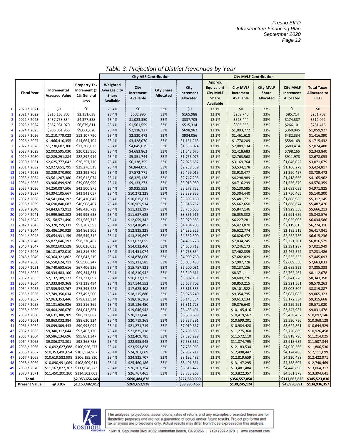| Approx.<br>Weighted<br><b>Property Tax</b><br>City<br><b>City MVLF</b><br><b>City MVLF</b><br><b>City MVLF</b><br>City<br>Equivalent<br><b>Average City</b><br><b>City Share</b><br>Incremental<br>Increment @<br>Increment<br>Increment<br><b>City MVLF</b><br>Share<br>Increment<br><b>Fiscal Year</b><br>Increment<br>Share<br>Allocated<br><b>Assessed Value</b><br>1% General<br>Available<br>Allocated<br>Share<br>Available<br>Allocated<br><b>Allocated</b><br>Available<br>Levy<br>Available<br>\$0<br>\$0<br>\$0<br>\$0<br>$\bf{0}$<br>2020 / 2021<br>\$0<br>\$0<br>23.4%<br>33%<br>12.1%<br>33%<br>\$0<br>$\mathbf{1}$<br>2021 / 2022<br>\$215,163,805<br>\$2,151,638<br>23.4%<br>\$502,995<br>33%<br>\$165,988<br>12.1%<br>\$259,740<br>33%<br>\$85,714<br>$\overline{2}$<br>2022 / 2023<br>\$4,377,538<br>\$337,705<br>\$437,753,834<br>23.4%<br>\$1,023,350<br>33%<br>12.1%<br>\$528,444<br>33%<br>\$174,387<br>$\overline{\mathbf{3}}$<br>2023 / 2024<br>\$667,981,070<br>\$6,679,811<br>23.4%<br>\$1,561,559<br>33%<br>\$515,314<br>12.1%<br>\$806,368<br>33%<br>\$266,101<br>4<br>2024 / 2025<br>\$906,061,966<br>\$9,060,620<br>23.4%<br>\$2,118,127<br>33%<br>\$698,982<br>12.1%<br>\$1,093,772<br>33%<br>\$360,945<br>5<br>2025 / 2026<br>\$12,107,790<br>23.4%<br>\$2,830,473<br>\$934,056<br>\$1,461,618<br>\$482,334<br>\$1,210,779,023<br>33%<br>12.1%<br>33%<br>$\boldsymbol{6}$<br>2026 / 2027<br>\$1,466,410,355<br>\$14,664,104<br>\$3,428,070<br>\$1,131,263<br>12.1%<br>\$1,770,209<br>\$584,169<br>23.4%<br>33%<br>33%<br>$\overline{7}$<br>2027 / 2028<br>\$1,730,602,300<br>\$17,306,023<br>23.4%<br>\$4,045,679<br>\$1,335,074<br>12.1%<br>\$2,089,134<br>\$689,414<br>33%<br>33%<br>$\pmb{8}$<br>2028 / 2029<br>\$798,165<br>\$2,003,595,030<br>\$20,035,950<br>23.4%<br>\$4,683,862<br>33%<br>\$1,545,675<br>12.1%<br>\$2,418,683<br>33%<br>9<br>2029 / 2030<br>\$2,289,291,884<br>\$22,892,919<br>23.4%<br>\$5,351,744<br>\$1,766,076<br>12.1%<br>\$2,763,568<br>\$911,978<br>33%<br>33%<br>\$26,257,770<br>10<br>2030 / 2031<br>\$2,625,777,042<br>23.4%<br>\$6,138,355<br>\$2,025,657<br>12.1%<br>\$3,169,764<br>33%<br>\$1,046,022<br>33%<br>2031 / 2032<br>\$29,276,518<br>11<br>\$2,927,651,795<br>23.4%<br>\$6,844,056<br>\$2,258,539<br>12.1%<br>\$3,534,178<br>\$1,166,279<br>33%<br>33%<br>12<br>2032 / 2033<br>\$3,239,370,900<br>\$32,393,709<br>23.4%<br>\$2,499,015<br>12.1%<br>\$7,572,771<br>33%<br>\$3,910,477<br>33%<br>\$1,290,457<br>13<br>2033 / 2034<br>\$3,561,207,380<br>\$35,612,074<br>23.4%<br>\$8,325,138<br>33%<br>\$2,747,295<br>12.1%<br>\$4,298,989<br>33%<br>\$1,418,666<br>\$39,068,999<br>14<br>2034 / 2035<br>\$3,906,899,926<br>23.4%<br>\$9,133,273<br>\$3,013,980<br>12.1%<br>\$4,716,299<br>\$1,556,379<br>33%<br>33%<br>15<br>\$3,278,732<br>2035 / 2036<br>\$4,250,087,506<br>\$42,500,875<br>\$9,935,553<br>12.1%<br>\$5,130,585<br>\$1,693,093<br>23.4%<br>33%<br>33%<br>16<br>2036 / 2037<br>\$4,394,105,667<br>\$43,941,057<br>23.4%<br>\$10,272,228<br>\$3,389,835<br>12.1%<br>\$5,304,440<br>\$1,750,465<br>33%<br>33%<br>17<br>2037 / 2038<br>\$45,410,042<br>23.4%<br>\$10,615,637<br>\$3,503,160<br>\$5,481,771<br>\$1,808,985<br>\$4,541,004,192<br>33%<br>12.1%<br>33%<br>18<br>2038 / 2039<br>\$4,690,840,687<br>\$46,908,407<br>\$3,618,752<br>12.1%<br>\$5,662,650<br>\$1,868,674<br>23.4%<br>\$10,965,914<br>33%<br>33%<br>19<br>2039 / 2040<br>\$4,843,673,912<br>\$48,436,739<br>23.4%<br>\$11,323,197<br>33%<br>\$3,736,655<br>12.1%<br>\$5,847,146<br>33%<br>\$1,929,558<br>\$5,666,213<br>20<br>2040 / 2041<br>\$4,999,563,802<br>\$49,995,638<br>\$11,687,625<br>\$3,856,916<br>12.1%<br>\$6,035,332<br>33%<br>\$1,991,659<br>23.4%<br>33%<br>21<br>2041 / 2042<br>\$5,158,571,490<br>\$51,585,715<br>23.4%<br>\$12,059,342<br>\$3,979,583<br>12.1%<br>\$6,227,281<br>\$2,055,003<br>33%<br>33%<br>2042 / 2043<br>\$53,207,593<br>22<br>\$5,320,759,331<br>23.4%<br>\$12,438,493<br>33%<br>\$4,104,703<br>12.1%<br>\$6,423,070<br>33%<br>\$2,119,613<br>\$6,224,316<br>23<br>\$6,417,841<br>2043 / 2044<br>\$5,486,190,929<br>\$54,861,909<br>23.4%<br>\$12,825,228<br>\$4,232,325<br>12.1%<br>\$6,622,774<br>\$2,185,515<br>33%<br>33%<br>24<br>2044 / 2045<br>\$56,549,312<br>\$4,362,500<br>12.1%<br>\$2,252,736<br>\$6,615,236<br>\$5,654,931,159<br>23.4%<br>\$13,219,697<br>33%<br>\$6,826,472<br>33%<br>25<br>2045 / 2046<br>\$5,827,046,193<br>\$58,270,462<br>23.4%<br>\$13,622,055<br>33%<br>\$4,495,278<br>12.1%<br>\$7,034,245<br>33%<br>\$2,321,301<br>26<br>2046 / 2047<br>\$6,002,603,528<br>\$60,026,035<br>23.4%<br>\$14,032,460<br>\$4,630,712<br>12.1%<br>\$7,246,173<br>\$2,391,237<br>33%<br>33%<br>27<br>2047 / 2048<br>\$6,181,672,010<br>\$61,816,720<br>23.4%<br>\$14,451,074<br>\$4,768,854<br>12.1%<br>\$7,462,339<br>\$2,462,572<br>33%<br>33%<br>2048 / 2049<br>\$63,643,219<br>\$4,909,760<br>28<br>\$6,364,321,862<br>23.4%<br>\$14,878,060<br>12.1%<br>\$7,682,829<br>\$2,535,333<br>33%<br>33%<br>29<br>2049 / 2050<br>\$65,506,247<br>\$5,053,483<br>\$7,907,728<br>\$2,609,550<br>\$6,550,624,711<br>23.4%<br>\$15,313,585<br>33%<br>12.1%<br>33%<br>30<br>2050 / 2051<br>\$6,740,653,616<br>\$67,406,536<br>\$5,200,081<br>12.1%<br>\$8,137,126<br>\$2,685,252<br>23.4%<br>\$15,757,821<br>33%<br>33%<br>31<br>2051 / 2052<br>\$6,934,483,100<br>\$69,344,831<br>23.4%<br>\$16,210,942<br>\$5,349,611<br>12.1%<br>\$8,371,111<br>33%<br>\$2,762,467<br>\$8,112,078<br>33%<br>32<br>2052 / 2053<br>\$7,132,189,173<br>\$71,321,892<br>23.4%<br>\$16,673,125<br>\$5,502,131<br>12.1%<br>\$8,609,776<br>33%<br>\$2,841,226<br>33%<br>33<br>2053 / 2054<br>\$7,333,849,368<br>\$73,338,494<br>23.4%<br>\$17,144,552<br>\$5,657,702<br>12.1%<br>\$8,853,215<br>\$2,921,561<br>33%<br>33%<br>34<br>2054 / 2055<br>\$7,539,542,767<br>\$75,395,428<br>23.4%<br>\$17,625,408<br>\$5,816,385<br>\$9,101,522<br>33%<br>\$3,003,502<br>\$8,819,887<br>33%<br>12.1%<br>35<br>2055 / 2056<br>\$7,749,350,034<br>\$77,493,500<br>\$18,115,880<br>\$5,978,240<br>12.1%<br>\$9,354,795<br>\$3,087,083<br>23.4%<br>33%<br>33%<br>36<br>2056 / 2057<br>\$6,143,334<br>12.1%<br>\$7,963,353,446<br>\$79,633,534<br>23.4%<br>\$18,616,162<br>33%<br>\$9,613,134<br>33%<br>\$3,172,334<br>37<br>2057 / 2058<br>\$8,181,636,926<br>\$81,816,369<br>23.4%<br>\$19,126,450<br>33%<br>\$6,311,728<br>12.1%<br>\$9,876,640<br>33%<br>\$3,259,291<br>38<br>2058 / 2059<br>\$8,404,286,076<br>\$84,042,861<br>23.4%<br>\$19,646,943<br>\$6,483,491<br>12.1%<br>\$10,145,416<br>\$3,347,987<br>33%<br>33%<br>39<br>2059 / 2060<br>\$8,631,388,209<br>\$86,313,882<br>23.4%<br>\$6,658,689<br>12.1%<br>\$3,438,457<br>\$20,177,846<br>33%<br>\$10,419,567<br>33%<br>40<br>2060 / 2061<br>\$8,863,032,384<br>\$88,630,324<br>23.4%<br>\$20,719,368<br>33%<br>\$6,837,391<br>12.1%<br>\$10,699,201<br>33%<br>\$3,530,736<br>41<br>2061 / 2062<br>\$9,099,309,443<br>\$90,993,094<br>23.4%<br>\$21,271,719<br>33%<br>\$7,019,667<br>12.1%<br>\$10,984,428<br>33%<br>\$3,624,861<br>2062 / 2063<br>\$9,340,312,044<br>\$93,403,120<br>\$21,835,118<br>\$7,205,589<br>42<br>23.4%<br>33%<br>12.1%<br>\$11,275,360<br>33%<br>\$3,720,869<br>2063 / 2064<br>\$95,861,347<br>\$22,409,785<br>43<br>\$9,586,134,696<br>\$7,395,229<br>\$11,572,110<br>\$3,818,796<br>23.4%<br>33%<br>12.1%<br>33%<br>\$9,836,873,801<br>\$98,368,738<br>\$22,995,945<br>\$7,588,662<br>\$11,874,795<br>\$3,918,682<br>2064 / 2065<br>23.4%<br>12.1%<br>44<br>33%<br>33%<br>2065 / 2066<br>\$10,092,627,688<br>\$100,926,277<br>23.4%<br>\$23,593,828<br>\$7,785,963<br>12.1%<br>\$12,183,534<br>\$4,020,566<br>45<br>33%<br>33%<br>\$10,353,496,654 \$103,534,967<br>\$24,203,669<br>2066 / 2067<br>23.4%<br>\$7,987,211<br>\$12,498,447<br>\$4,124,488<br>33%<br>12.1%<br>33%<br>46<br>\$10,619,582,998 \$106,195,830<br>\$4,230,488<br>2067 / 2068<br>\$24,825,707<br>\$8,192,483<br>\$12,819,659<br>47<br>23.4%<br>33%<br>12.1%<br>33%<br>2068 / 2069<br>\$10,890,991,069 \$108,909,911<br>\$8,401,861<br>48<br>23.4%<br>\$25,460,186<br>33%<br>12.1%<br>\$13,147,295<br>33%<br>\$4,338,607<br>\$11,167,827,302 \$111,678,273<br>\$8,615,427<br>49<br>2069 / 2070<br>23.4%<br>\$26,107,354<br>33%<br>12.1%<br>\$13,481,484<br>33%<br>\$4,448,890<br>\$11,450,200,260<br>50<br>2070 / 2071<br>\$114,502,003<br>23.4%<br>\$26,767,465<br>\$8,833,263<br>\$13,822,357<br>\$4,561,378<br>33%<br>12.1%<br>33%<br>\$2,953,656,643<br>\$690,484,876<br>\$227,860,009<br>\$356,557,050<br>\$117,663,826<br>Total<br>@3.0%<br>\$1,153,482,412<br>\$269,652,928<br>\$88,985,466<br>\$139,245,124<br>\$45,950,891<br><b>Present Value</b> |  |  | <b>City AB8 Contribution</b> |  | <b>City MVLF Contribution</b> |  |  |  |                     |
|-------------------------------------------------------------------------------------------------------------------------------------------------------------------------------------------------------------------------------------------------------------------------------------------------------------------------------------------------------------------------------------------------------------------------------------------------------------------------------------------------------------------------------------------------------------------------------------------------------------------------------------------------------------------------------------------------------------------------------------------------------------------------------------------------------------------------------------------------------------------------------------------------------------------------------------------------------------------------------------------------------------------------------------------------------------------------------------------------------------------------------------------------------------------------------------------------------------------------------------------------------------------------------------------------------------------------------------------------------------------------------------------------------------------------------------------------------------------------------------------------------------------------------------------------------------------------------------------------------------------------------------------------------------------------------------------------------------------------------------------------------------------------------------------------------------------------------------------------------------------------------------------------------------------------------------------------------------------------------------------------------------------------------------------------------------------------------------------------------------------------------------------------------------------------------------------------------------------------------------------------------------------------------------------------------------------------------------------------------------------------------------------------------------------------------------------------------------------------------------------------------------------------------------------------------------------------------------------------------------------------------------------------------------------------------------------------------------------------------------------------------------------------------------------------------------------------------------------------------------------------------------------------------------------------------------------------------------------------------------------------------------------------------------------------------------------------------------------------------------------------------------------------------------------------------------------------------------------------------------------------------------------------------------------------------------------------------------------------------------------------------------------------------------------------------------------------------------------------------------------------------------------------------------------------------------------------------------------------------------------------------------------------------------------------------------------------------------------------------------------------------------------------------------------------------------------------------------------------------------------------------------------------------------------------------------------------------------------------------------------------------------------------------------------------------------------------------------------------------------------------------------------------------------------------------------------------------------------------------------------------------------------------------------------------------------------------------------------------------------------------------------------------------------------------------------------------------------------------------------------------------------------------------------------------------------------------------------------------------------------------------------------------------------------------------------------------------------------------------------------------------------------------------------------------------------------------------------------------------------------------------------------------------------------------------------------------------------------------------------------------------------------------------------------------------------------------------------------------------------------------------------------------------------------------------------------------------------------------------------------------------------------------------------------------------------------------------------------------------------------------------------------------------------------------------------------------------------------------------------------------------------------------------------------------------------------------------------------------------------------------------------------------------------------------------------------------------------------------------------------------------------------------------------------------------------------------------------------------------------------------------------------------------------------------------------------------------------------------------------------------------------------------------------------------------------------------------------------------------------------------------------------------------------------------------------------------------------------------------------------------------------------------------------------------------------------------------------------------------------------------------------------------------------------------------------------------------------------------------------------------------------------------------------------------------------------------------------------------------------------------------------------------------------------------------------------------------------------------------------------------------------------------------------------------------------------------------------------------------------------------------------------------------------------------------------------------------------------------------------------------------------------------------------------------------------------------------------------------------------------------------------------------------------------------------------------------------------------------------------------------------------------------------------------------------------------------------------------------------------------------------------------------------------------------------------------------------------------------------------------------------------------------------------------------------------------------------------------------------------------------------------------------------------------------------------------------------------------------------------------------------------------------------------------------------------------------------------------------------------------------------------------------------------------------------------------------------------------------------------------------------------------------------------------------------------------------------------------------------------------------------------------------------------------------------------------------------------------------------------------------------------------------------------------------------------------------------------------------------------------------------------------------------------------------------------------------------------------------------------------------------------------------------------------------------------------------------------------------------------------------------------------------------------------------------------------------------------------|--|--|------------------------------|--|-------------------------------|--|--|--|---------------------|
|                                                                                                                                                                                                                                                                                                                                                                                                                                                                                                                                                                                                                                                                                                                                                                                                                                                                                                                                                                                                                                                                                                                                                                                                                                                                                                                                                                                                                                                                                                                                                                                                                                                                                                                                                                                                                                                                                                                                                                                                                                                                                                                                                                                                                                                                                                                                                                                                                                                                                                                                                                                                                                                                                                                                                                                                                                                                                                                                                                                                                                                                                                                                                                                                                                                                                                                                                                                                                                                                                                                                                                                                                                                                                                                                                                                                                                                                                                                                                                                                                                                                                                                                                                                                                                                                                                                                                                                                                                                                                                                                                                                                                                                                                                                                                                                                                                                                                                                                                                                                                                                                                                                                                                                                                                                                                                                                                                                                                                                                                                                                                                                                                                                                                                                                                                                                                                                                                                                                                                                                                                                                                                                                                                                                                                                                                                                                                                                                                                                                                                                                                                                                                                                                                                                                                                                                                                                                                                                                                                                                                                                                                                                                                                                                                                                                                                                                                                                                                                                                                                                                                                                                                                                                                                                                                                                                                                                                                                                                                                                                                                                                                                                                                                                                                                                                                                                                                                                                                                                                                                                                                                                                                                                                                                                   |  |  |                              |  |                               |  |  |  |                     |
|                                                                                                                                                                                                                                                                                                                                                                                                                                                                                                                                                                                                                                                                                                                                                                                                                                                                                                                                                                                                                                                                                                                                                                                                                                                                                                                                                                                                                                                                                                                                                                                                                                                                                                                                                                                                                                                                                                                                                                                                                                                                                                                                                                                                                                                                                                                                                                                                                                                                                                                                                                                                                                                                                                                                                                                                                                                                                                                                                                                                                                                                                                                                                                                                                                                                                                                                                                                                                                                                                                                                                                                                                                                                                                                                                                                                                                                                                                                                                                                                                                                                                                                                                                                                                                                                                                                                                                                                                                                                                                                                                                                                                                                                                                                                                                                                                                                                                                                                                                                                                                                                                                                                                                                                                                                                                                                                                                                                                                                                                                                                                                                                                                                                                                                                                                                                                                                                                                                                                                                                                                                                                                                                                                                                                                                                                                                                                                                                                                                                                                                                                                                                                                                                                                                                                                                                                                                                                                                                                                                                                                                                                                                                                                                                                                                                                                                                                                                                                                                                                                                                                                                                                                                                                                                                                                                                                                                                                                                                                                                                                                                                                                                                                                                                                                                                                                                                                                                                                                                                                                                                                                                                                                                                                                                   |  |  |                              |  |                               |  |  |  | <b>Total Taxes</b>  |
|                                                                                                                                                                                                                                                                                                                                                                                                                                                                                                                                                                                                                                                                                                                                                                                                                                                                                                                                                                                                                                                                                                                                                                                                                                                                                                                                                                                                                                                                                                                                                                                                                                                                                                                                                                                                                                                                                                                                                                                                                                                                                                                                                                                                                                                                                                                                                                                                                                                                                                                                                                                                                                                                                                                                                                                                                                                                                                                                                                                                                                                                                                                                                                                                                                                                                                                                                                                                                                                                                                                                                                                                                                                                                                                                                                                                                                                                                                                                                                                                                                                                                                                                                                                                                                                                                                                                                                                                                                                                                                                                                                                                                                                                                                                                                                                                                                                                                                                                                                                                                                                                                                                                                                                                                                                                                                                                                                                                                                                                                                                                                                                                                                                                                                                                                                                                                                                                                                                                                                                                                                                                                                                                                                                                                                                                                                                                                                                                                                                                                                                                                                                                                                                                                                                                                                                                                                                                                                                                                                                                                                                                                                                                                                                                                                                                                                                                                                                                                                                                                                                                                                                                                                                                                                                                                                                                                                                                                                                                                                                                                                                                                                                                                                                                                                                                                                                                                                                                                                                                                                                                                                                                                                                                                                                   |  |  |                              |  |                               |  |  |  | <b>Allocated to</b> |
|                                                                                                                                                                                                                                                                                                                                                                                                                                                                                                                                                                                                                                                                                                                                                                                                                                                                                                                                                                                                                                                                                                                                                                                                                                                                                                                                                                                                                                                                                                                                                                                                                                                                                                                                                                                                                                                                                                                                                                                                                                                                                                                                                                                                                                                                                                                                                                                                                                                                                                                                                                                                                                                                                                                                                                                                                                                                                                                                                                                                                                                                                                                                                                                                                                                                                                                                                                                                                                                                                                                                                                                                                                                                                                                                                                                                                                                                                                                                                                                                                                                                                                                                                                                                                                                                                                                                                                                                                                                                                                                                                                                                                                                                                                                                                                                                                                                                                                                                                                                                                                                                                                                                                                                                                                                                                                                                                                                                                                                                                                                                                                                                                                                                                                                                                                                                                                                                                                                                                                                                                                                                                                                                                                                                                                                                                                                                                                                                                                                                                                                                                                                                                                                                                                                                                                                                                                                                                                                                                                                                                                                                                                                                                                                                                                                                                                                                                                                                                                                                                                                                                                                                                                                                                                                                                                                                                                                                                                                                                                                                                                                                                                                                                                                                                                                                                                                                                                                                                                                                                                                                                                                                                                                                                                                   |  |  |                              |  |                               |  |  |  | <b>EIFD</b>         |
|                                                                                                                                                                                                                                                                                                                                                                                                                                                                                                                                                                                                                                                                                                                                                                                                                                                                                                                                                                                                                                                                                                                                                                                                                                                                                                                                                                                                                                                                                                                                                                                                                                                                                                                                                                                                                                                                                                                                                                                                                                                                                                                                                                                                                                                                                                                                                                                                                                                                                                                                                                                                                                                                                                                                                                                                                                                                                                                                                                                                                                                                                                                                                                                                                                                                                                                                                                                                                                                                                                                                                                                                                                                                                                                                                                                                                                                                                                                                                                                                                                                                                                                                                                                                                                                                                                                                                                                                                                                                                                                                                                                                                                                                                                                                                                                                                                                                                                                                                                                                                                                                                                                                                                                                                                                                                                                                                                                                                                                                                                                                                                                                                                                                                                                                                                                                                                                                                                                                                                                                                                                                                                                                                                                                                                                                                                                                                                                                                                                                                                                                                                                                                                                                                                                                                                                                                                                                                                                                                                                                                                                                                                                                                                                                                                                                                                                                                                                                                                                                                                                                                                                                                                                                                                                                                                                                                                                                                                                                                                                                                                                                                                                                                                                                                                                                                                                                                                                                                                                                                                                                                                                                                                                                                                                   |  |  |                              |  |                               |  |  |  |                     |
|                                                                                                                                                                                                                                                                                                                                                                                                                                                                                                                                                                                                                                                                                                                                                                                                                                                                                                                                                                                                                                                                                                                                                                                                                                                                                                                                                                                                                                                                                                                                                                                                                                                                                                                                                                                                                                                                                                                                                                                                                                                                                                                                                                                                                                                                                                                                                                                                                                                                                                                                                                                                                                                                                                                                                                                                                                                                                                                                                                                                                                                                                                                                                                                                                                                                                                                                                                                                                                                                                                                                                                                                                                                                                                                                                                                                                                                                                                                                                                                                                                                                                                                                                                                                                                                                                                                                                                                                                                                                                                                                                                                                                                                                                                                                                                                                                                                                                                                                                                                                                                                                                                                                                                                                                                                                                                                                                                                                                                                                                                                                                                                                                                                                                                                                                                                                                                                                                                                                                                                                                                                                                                                                                                                                                                                                                                                                                                                                                                                                                                                                                                                                                                                                                                                                                                                                                                                                                                                                                                                                                                                                                                                                                                                                                                                                                                                                                                                                                                                                                                                                                                                                                                                                                                                                                                                                                                                                                                                                                                                                                                                                                                                                                                                                                                                                                                                                                                                                                                                                                                                                                                                                                                                                                                                   |  |  |                              |  |                               |  |  |  |                     |
|                                                                                                                                                                                                                                                                                                                                                                                                                                                                                                                                                                                                                                                                                                                                                                                                                                                                                                                                                                                                                                                                                                                                                                                                                                                                                                                                                                                                                                                                                                                                                                                                                                                                                                                                                                                                                                                                                                                                                                                                                                                                                                                                                                                                                                                                                                                                                                                                                                                                                                                                                                                                                                                                                                                                                                                                                                                                                                                                                                                                                                                                                                                                                                                                                                                                                                                                                                                                                                                                                                                                                                                                                                                                                                                                                                                                                                                                                                                                                                                                                                                                                                                                                                                                                                                                                                                                                                                                                                                                                                                                                                                                                                                                                                                                                                                                                                                                                                                                                                                                                                                                                                                                                                                                                                                                                                                                                                                                                                                                                                                                                                                                                                                                                                                                                                                                                                                                                                                                                                                                                                                                                                                                                                                                                                                                                                                                                                                                                                                                                                                                                                                                                                                                                                                                                                                                                                                                                                                                                                                                                                                                                                                                                                                                                                                                                                                                                                                                                                                                                                                                                                                                                                                                                                                                                                                                                                                                                                                                                                                                                                                                                                                                                                                                                                                                                                                                                                                                                                                                                                                                                                                                                                                                                                                   |  |  |                              |  |                               |  |  |  | \$251,702           |
|                                                                                                                                                                                                                                                                                                                                                                                                                                                                                                                                                                                                                                                                                                                                                                                                                                                                                                                                                                                                                                                                                                                                                                                                                                                                                                                                                                                                                                                                                                                                                                                                                                                                                                                                                                                                                                                                                                                                                                                                                                                                                                                                                                                                                                                                                                                                                                                                                                                                                                                                                                                                                                                                                                                                                                                                                                                                                                                                                                                                                                                                                                                                                                                                                                                                                                                                                                                                                                                                                                                                                                                                                                                                                                                                                                                                                                                                                                                                                                                                                                                                                                                                                                                                                                                                                                                                                                                                                                                                                                                                                                                                                                                                                                                                                                                                                                                                                                                                                                                                                                                                                                                                                                                                                                                                                                                                                                                                                                                                                                                                                                                                                                                                                                                                                                                                                                                                                                                                                                                                                                                                                                                                                                                                                                                                                                                                                                                                                                                                                                                                                                                                                                                                                                                                                                                                                                                                                                                                                                                                                                                                                                                                                                                                                                                                                                                                                                                                                                                                                                                                                                                                                                                                                                                                                                                                                                                                                                                                                                                                                                                                                                                                                                                                                                                                                                                                                                                                                                                                                                                                                                                                                                                                                                                   |  |  |                              |  |                               |  |  |  | \$512,092           |
|                                                                                                                                                                                                                                                                                                                                                                                                                                                                                                                                                                                                                                                                                                                                                                                                                                                                                                                                                                                                                                                                                                                                                                                                                                                                                                                                                                                                                                                                                                                                                                                                                                                                                                                                                                                                                                                                                                                                                                                                                                                                                                                                                                                                                                                                                                                                                                                                                                                                                                                                                                                                                                                                                                                                                                                                                                                                                                                                                                                                                                                                                                                                                                                                                                                                                                                                                                                                                                                                                                                                                                                                                                                                                                                                                                                                                                                                                                                                                                                                                                                                                                                                                                                                                                                                                                                                                                                                                                                                                                                                                                                                                                                                                                                                                                                                                                                                                                                                                                                                                                                                                                                                                                                                                                                                                                                                                                                                                                                                                                                                                                                                                                                                                                                                                                                                                                                                                                                                                                                                                                                                                                                                                                                                                                                                                                                                                                                                                                                                                                                                                                                                                                                                                                                                                                                                                                                                                                                                                                                                                                                                                                                                                                                                                                                                                                                                                                                                                                                                                                                                                                                                                                                                                                                                                                                                                                                                                                                                                                                                                                                                                                                                                                                                                                                                                                                                                                                                                                                                                                                                                                                                                                                                                                                   |  |  |                              |  |                               |  |  |  | \$781,416           |
|                                                                                                                                                                                                                                                                                                                                                                                                                                                                                                                                                                                                                                                                                                                                                                                                                                                                                                                                                                                                                                                                                                                                                                                                                                                                                                                                                                                                                                                                                                                                                                                                                                                                                                                                                                                                                                                                                                                                                                                                                                                                                                                                                                                                                                                                                                                                                                                                                                                                                                                                                                                                                                                                                                                                                                                                                                                                                                                                                                                                                                                                                                                                                                                                                                                                                                                                                                                                                                                                                                                                                                                                                                                                                                                                                                                                                                                                                                                                                                                                                                                                                                                                                                                                                                                                                                                                                                                                                                                                                                                                                                                                                                                                                                                                                                                                                                                                                                                                                                                                                                                                                                                                                                                                                                                                                                                                                                                                                                                                                                                                                                                                                                                                                                                                                                                                                                                                                                                                                                                                                                                                                                                                                                                                                                                                                                                                                                                                                                                                                                                                                                                                                                                                                                                                                                                                                                                                                                                                                                                                                                                                                                                                                                                                                                                                                                                                                                                                                                                                                                                                                                                                                                                                                                                                                                                                                                                                                                                                                                                                                                                                                                                                                                                                                                                                                                                                                                                                                                                                                                                                                                                                                                                                                                                   |  |  |                              |  |                               |  |  |  | \$1,059,927         |
|                                                                                                                                                                                                                                                                                                                                                                                                                                                                                                                                                                                                                                                                                                                                                                                                                                                                                                                                                                                                                                                                                                                                                                                                                                                                                                                                                                                                                                                                                                                                                                                                                                                                                                                                                                                                                                                                                                                                                                                                                                                                                                                                                                                                                                                                                                                                                                                                                                                                                                                                                                                                                                                                                                                                                                                                                                                                                                                                                                                                                                                                                                                                                                                                                                                                                                                                                                                                                                                                                                                                                                                                                                                                                                                                                                                                                                                                                                                                                                                                                                                                                                                                                                                                                                                                                                                                                                                                                                                                                                                                                                                                                                                                                                                                                                                                                                                                                                                                                                                                                                                                                                                                                                                                                                                                                                                                                                                                                                                                                                                                                                                                                                                                                                                                                                                                                                                                                                                                                                                                                                                                                                                                                                                                                                                                                                                                                                                                                                                                                                                                                                                                                                                                                                                                                                                                                                                                                                                                                                                                                                                                                                                                                                                                                                                                                                                                                                                                                                                                                                                                                                                                                                                                                                                                                                                                                                                                                                                                                                                                                                                                                                                                                                                                                                                                                                                                                                                                                                                                                                                                                                                                                                                                                                                   |  |  |                              |  |                               |  |  |  | \$1,416,390         |
|                                                                                                                                                                                                                                                                                                                                                                                                                                                                                                                                                                                                                                                                                                                                                                                                                                                                                                                                                                                                                                                                                                                                                                                                                                                                                                                                                                                                                                                                                                                                                                                                                                                                                                                                                                                                                                                                                                                                                                                                                                                                                                                                                                                                                                                                                                                                                                                                                                                                                                                                                                                                                                                                                                                                                                                                                                                                                                                                                                                                                                                                                                                                                                                                                                                                                                                                                                                                                                                                                                                                                                                                                                                                                                                                                                                                                                                                                                                                                                                                                                                                                                                                                                                                                                                                                                                                                                                                                                                                                                                                                                                                                                                                                                                                                                                                                                                                                                                                                                                                                                                                                                                                                                                                                                                                                                                                                                                                                                                                                                                                                                                                                                                                                                                                                                                                                                                                                                                                                                                                                                                                                                                                                                                                                                                                                                                                                                                                                                                                                                                                                                                                                                                                                                                                                                                                                                                                                                                                                                                                                                                                                                                                                                                                                                                                                                                                                                                                                                                                                                                                                                                                                                                                                                                                                                                                                                                                                                                                                                                                                                                                                                                                                                                                                                                                                                                                                                                                                                                                                                                                                                                                                                                                                                                   |  |  |                              |  |                               |  |  |  | \$1,715,432         |
|                                                                                                                                                                                                                                                                                                                                                                                                                                                                                                                                                                                                                                                                                                                                                                                                                                                                                                                                                                                                                                                                                                                                                                                                                                                                                                                                                                                                                                                                                                                                                                                                                                                                                                                                                                                                                                                                                                                                                                                                                                                                                                                                                                                                                                                                                                                                                                                                                                                                                                                                                                                                                                                                                                                                                                                                                                                                                                                                                                                                                                                                                                                                                                                                                                                                                                                                                                                                                                                                                                                                                                                                                                                                                                                                                                                                                                                                                                                                                                                                                                                                                                                                                                                                                                                                                                                                                                                                                                                                                                                                                                                                                                                                                                                                                                                                                                                                                                                                                                                                                                                                                                                                                                                                                                                                                                                                                                                                                                                                                                                                                                                                                                                                                                                                                                                                                                                                                                                                                                                                                                                                                                                                                                                                                                                                                                                                                                                                                                                                                                                                                                                                                                                                                                                                                                                                                                                                                                                                                                                                                                                                                                                                                                                                                                                                                                                                                                                                                                                                                                                                                                                                                                                                                                                                                                                                                                                                                                                                                                                                                                                                                                                                                                                                                                                                                                                                                                                                                                                                                                                                                                                                                                                                                                                   |  |  |                              |  |                               |  |  |  | \$2,024,488         |
|                                                                                                                                                                                                                                                                                                                                                                                                                                                                                                                                                                                                                                                                                                                                                                                                                                                                                                                                                                                                                                                                                                                                                                                                                                                                                                                                                                                                                                                                                                                                                                                                                                                                                                                                                                                                                                                                                                                                                                                                                                                                                                                                                                                                                                                                                                                                                                                                                                                                                                                                                                                                                                                                                                                                                                                                                                                                                                                                                                                                                                                                                                                                                                                                                                                                                                                                                                                                                                                                                                                                                                                                                                                                                                                                                                                                                                                                                                                                                                                                                                                                                                                                                                                                                                                                                                                                                                                                                                                                                                                                                                                                                                                                                                                                                                                                                                                                                                                                                                                                                                                                                                                                                                                                                                                                                                                                                                                                                                                                                                                                                                                                                                                                                                                                                                                                                                                                                                                                                                                                                                                                                                                                                                                                                                                                                                                                                                                                                                                                                                                                                                                                                                                                                                                                                                                                                                                                                                                                                                                                                                                                                                                                                                                                                                                                                                                                                                                                                                                                                                                                                                                                                                                                                                                                                                                                                                                                                                                                                                                                                                                                                                                                                                                                                                                                                                                                                                                                                                                                                                                                                                                                                                                                                                                   |  |  |                              |  |                               |  |  |  | \$2,343,840         |
|                                                                                                                                                                                                                                                                                                                                                                                                                                                                                                                                                                                                                                                                                                                                                                                                                                                                                                                                                                                                                                                                                                                                                                                                                                                                                                                                                                                                                                                                                                                                                                                                                                                                                                                                                                                                                                                                                                                                                                                                                                                                                                                                                                                                                                                                                                                                                                                                                                                                                                                                                                                                                                                                                                                                                                                                                                                                                                                                                                                                                                                                                                                                                                                                                                                                                                                                                                                                                                                                                                                                                                                                                                                                                                                                                                                                                                                                                                                                                                                                                                                                                                                                                                                                                                                                                                                                                                                                                                                                                                                                                                                                                                                                                                                                                                                                                                                                                                                                                                                                                                                                                                                                                                                                                                                                                                                                                                                                                                                                                                                                                                                                                                                                                                                                                                                                                                                                                                                                                                                                                                                                                                                                                                                                                                                                                                                                                                                                                                                                                                                                                                                                                                                                                                                                                                                                                                                                                                                                                                                                                                                                                                                                                                                                                                                                                                                                                                                                                                                                                                                                                                                                                                                                                                                                                                                                                                                                                                                                                                                                                                                                                                                                                                                                                                                                                                                                                                                                                                                                                                                                                                                                                                                                                                                   |  |  |                              |  |                               |  |  |  | \$2,678,053         |
|                                                                                                                                                                                                                                                                                                                                                                                                                                                                                                                                                                                                                                                                                                                                                                                                                                                                                                                                                                                                                                                                                                                                                                                                                                                                                                                                                                                                                                                                                                                                                                                                                                                                                                                                                                                                                                                                                                                                                                                                                                                                                                                                                                                                                                                                                                                                                                                                                                                                                                                                                                                                                                                                                                                                                                                                                                                                                                                                                                                                                                                                                                                                                                                                                                                                                                                                                                                                                                                                                                                                                                                                                                                                                                                                                                                                                                                                                                                                                                                                                                                                                                                                                                                                                                                                                                                                                                                                                                                                                                                                                                                                                                                                                                                                                                                                                                                                                                                                                                                                                                                                                                                                                                                                                                                                                                                                                                                                                                                                                                                                                                                                                                                                                                                                                                                                                                                                                                                                                                                                                                                                                                                                                                                                                                                                                                                                                                                                                                                                                                                                                                                                                                                                                                                                                                                                                                                                                                                                                                                                                                                                                                                                                                                                                                                                                                                                                                                                                                                                                                                                                                                                                                                                                                                                                                                                                                                                                                                                                                                                                                                                                                                                                                                                                                                                                                                                                                                                                                                                                                                                                                                                                                                                                                                   |  |  |                              |  |                               |  |  |  | \$3,071,679         |
|                                                                                                                                                                                                                                                                                                                                                                                                                                                                                                                                                                                                                                                                                                                                                                                                                                                                                                                                                                                                                                                                                                                                                                                                                                                                                                                                                                                                                                                                                                                                                                                                                                                                                                                                                                                                                                                                                                                                                                                                                                                                                                                                                                                                                                                                                                                                                                                                                                                                                                                                                                                                                                                                                                                                                                                                                                                                                                                                                                                                                                                                                                                                                                                                                                                                                                                                                                                                                                                                                                                                                                                                                                                                                                                                                                                                                                                                                                                                                                                                                                                                                                                                                                                                                                                                                                                                                                                                                                                                                                                                                                                                                                                                                                                                                                                                                                                                                                                                                                                                                                                                                                                                                                                                                                                                                                                                                                                                                                                                                                                                                                                                                                                                                                                                                                                                                                                                                                                                                                                                                                                                                                                                                                                                                                                                                                                                                                                                                                                                                                                                                                                                                                                                                                                                                                                                                                                                                                                                                                                                                                                                                                                                                                                                                                                                                                                                                                                                                                                                                                                                                                                                                                                                                                                                                                                                                                                                                                                                                                                                                                                                                                                                                                                                                                                                                                                                                                                                                                                                                                                                                                                                                                                                                                                   |  |  |                              |  |                               |  |  |  | \$3,424,817         |
|                                                                                                                                                                                                                                                                                                                                                                                                                                                                                                                                                                                                                                                                                                                                                                                                                                                                                                                                                                                                                                                                                                                                                                                                                                                                                                                                                                                                                                                                                                                                                                                                                                                                                                                                                                                                                                                                                                                                                                                                                                                                                                                                                                                                                                                                                                                                                                                                                                                                                                                                                                                                                                                                                                                                                                                                                                                                                                                                                                                                                                                                                                                                                                                                                                                                                                                                                                                                                                                                                                                                                                                                                                                                                                                                                                                                                                                                                                                                                                                                                                                                                                                                                                                                                                                                                                                                                                                                                                                                                                                                                                                                                                                                                                                                                                                                                                                                                                                                                                                                                                                                                                                                                                                                                                                                                                                                                                                                                                                                                                                                                                                                                                                                                                                                                                                                                                                                                                                                                                                                                                                                                                                                                                                                                                                                                                                                                                                                                                                                                                                                                                                                                                                                                                                                                                                                                                                                                                                                                                                                                                                                                                                                                                                                                                                                                                                                                                                                                                                                                                                                                                                                                                                                                                                                                                                                                                                                                                                                                                                                                                                                                                                                                                                                                                                                                                                                                                                                                                                                                                                                                                                                                                                                                                                   |  |  |                              |  |                               |  |  |  | \$3,789,472         |
|                                                                                                                                                                                                                                                                                                                                                                                                                                                                                                                                                                                                                                                                                                                                                                                                                                                                                                                                                                                                                                                                                                                                                                                                                                                                                                                                                                                                                                                                                                                                                                                                                                                                                                                                                                                                                                                                                                                                                                                                                                                                                                                                                                                                                                                                                                                                                                                                                                                                                                                                                                                                                                                                                                                                                                                                                                                                                                                                                                                                                                                                                                                                                                                                                                                                                                                                                                                                                                                                                                                                                                                                                                                                                                                                                                                                                                                                                                                                                                                                                                                                                                                                                                                                                                                                                                                                                                                                                                                                                                                                                                                                                                                                                                                                                                                                                                                                                                                                                                                                                                                                                                                                                                                                                                                                                                                                                                                                                                                                                                                                                                                                                                                                                                                                                                                                                                                                                                                                                                                                                                                                                                                                                                                                                                                                                                                                                                                                                                                                                                                                                                                                                                                                                                                                                                                                                                                                                                                                                                                                                                                                                                                                                                                                                                                                                                                                                                                                                                                                                                                                                                                                                                                                                                                                                                                                                                                                                                                                                                                                                                                                                                                                                                                                                                                                                                                                                                                                                                                                                                                                                                                                                                                                                                                   |  |  |                              |  |                               |  |  |  | \$4,165,962         |
|                                                                                                                                                                                                                                                                                                                                                                                                                                                                                                                                                                                                                                                                                                                                                                                                                                                                                                                                                                                                                                                                                                                                                                                                                                                                                                                                                                                                                                                                                                                                                                                                                                                                                                                                                                                                                                                                                                                                                                                                                                                                                                                                                                                                                                                                                                                                                                                                                                                                                                                                                                                                                                                                                                                                                                                                                                                                                                                                                                                                                                                                                                                                                                                                                                                                                                                                                                                                                                                                                                                                                                                                                                                                                                                                                                                                                                                                                                                                                                                                                                                                                                                                                                                                                                                                                                                                                                                                                                                                                                                                                                                                                                                                                                                                                                                                                                                                                                                                                                                                                                                                                                                                                                                                                                                                                                                                                                                                                                                                                                                                                                                                                                                                                                                                                                                                                                                                                                                                                                                                                                                                                                                                                                                                                                                                                                                                                                                                                                                                                                                                                                                                                                                                                                                                                                                                                                                                                                                                                                                                                                                                                                                                                                                                                                                                                                                                                                                                                                                                                                                                                                                                                                                                                                                                                                                                                                                                                                                                                                                                                                                                                                                                                                                                                                                                                                                                                                                                                                                                                                                                                                                                                                                                                                                   |  |  |                              |  |                               |  |  |  | \$4,570,359         |
|                                                                                                                                                                                                                                                                                                                                                                                                                                                                                                                                                                                                                                                                                                                                                                                                                                                                                                                                                                                                                                                                                                                                                                                                                                                                                                                                                                                                                                                                                                                                                                                                                                                                                                                                                                                                                                                                                                                                                                                                                                                                                                                                                                                                                                                                                                                                                                                                                                                                                                                                                                                                                                                                                                                                                                                                                                                                                                                                                                                                                                                                                                                                                                                                                                                                                                                                                                                                                                                                                                                                                                                                                                                                                                                                                                                                                                                                                                                                                                                                                                                                                                                                                                                                                                                                                                                                                                                                                                                                                                                                                                                                                                                                                                                                                                                                                                                                                                                                                                                                                                                                                                                                                                                                                                                                                                                                                                                                                                                                                                                                                                                                                                                                                                                                                                                                                                                                                                                                                                                                                                                                                                                                                                                                                                                                                                                                                                                                                                                                                                                                                                                                                                                                                                                                                                                                                                                                                                                                                                                                                                                                                                                                                                                                                                                                                                                                                                                                                                                                                                                                                                                                                                                                                                                                                                                                                                                                                                                                                                                                                                                                                                                                                                                                                                                                                                                                                                                                                                                                                                                                                                                                                                                                                                                   |  |  |                              |  |                               |  |  |  | \$4,971,825         |
|                                                                                                                                                                                                                                                                                                                                                                                                                                                                                                                                                                                                                                                                                                                                                                                                                                                                                                                                                                                                                                                                                                                                                                                                                                                                                                                                                                                                                                                                                                                                                                                                                                                                                                                                                                                                                                                                                                                                                                                                                                                                                                                                                                                                                                                                                                                                                                                                                                                                                                                                                                                                                                                                                                                                                                                                                                                                                                                                                                                                                                                                                                                                                                                                                                                                                                                                                                                                                                                                                                                                                                                                                                                                                                                                                                                                                                                                                                                                                                                                                                                                                                                                                                                                                                                                                                                                                                                                                                                                                                                                                                                                                                                                                                                                                                                                                                                                                                                                                                                                                                                                                                                                                                                                                                                                                                                                                                                                                                                                                                                                                                                                                                                                                                                                                                                                                                                                                                                                                                                                                                                                                                                                                                                                                                                                                                                                                                                                                                                                                                                                                                                                                                                                                                                                                                                                                                                                                                                                                                                                                                                                                                                                                                                                                                                                                                                                                                                                                                                                                                                                                                                                                                                                                                                                                                                                                                                                                                                                                                                                                                                                                                                                                                                                                                                                                                                                                                                                                                                                                                                                                                                                                                                                                                                   |  |  |                              |  |                               |  |  |  | \$5,140,300         |
|                                                                                                                                                                                                                                                                                                                                                                                                                                                                                                                                                                                                                                                                                                                                                                                                                                                                                                                                                                                                                                                                                                                                                                                                                                                                                                                                                                                                                                                                                                                                                                                                                                                                                                                                                                                                                                                                                                                                                                                                                                                                                                                                                                                                                                                                                                                                                                                                                                                                                                                                                                                                                                                                                                                                                                                                                                                                                                                                                                                                                                                                                                                                                                                                                                                                                                                                                                                                                                                                                                                                                                                                                                                                                                                                                                                                                                                                                                                                                                                                                                                                                                                                                                                                                                                                                                                                                                                                                                                                                                                                                                                                                                                                                                                                                                                                                                                                                                                                                                                                                                                                                                                                                                                                                                                                                                                                                                                                                                                                                                                                                                                                                                                                                                                                                                                                                                                                                                                                                                                                                                                                                                                                                                                                                                                                                                                                                                                                                                                                                                                                                                                                                                                                                                                                                                                                                                                                                                                                                                                                                                                                                                                                                                                                                                                                                                                                                                                                                                                                                                                                                                                                                                                                                                                                                                                                                                                                                                                                                                                                                                                                                                                                                                                                                                                                                                                                                                                                                                                                                                                                                                                                                                                                                                                   |  |  |                              |  |                               |  |  |  | \$5,312,145         |
|                                                                                                                                                                                                                                                                                                                                                                                                                                                                                                                                                                                                                                                                                                                                                                                                                                                                                                                                                                                                                                                                                                                                                                                                                                                                                                                                                                                                                                                                                                                                                                                                                                                                                                                                                                                                                                                                                                                                                                                                                                                                                                                                                                                                                                                                                                                                                                                                                                                                                                                                                                                                                                                                                                                                                                                                                                                                                                                                                                                                                                                                                                                                                                                                                                                                                                                                                                                                                                                                                                                                                                                                                                                                                                                                                                                                                                                                                                                                                                                                                                                                                                                                                                                                                                                                                                                                                                                                                                                                                                                                                                                                                                                                                                                                                                                                                                                                                                                                                                                                                                                                                                                                                                                                                                                                                                                                                                                                                                                                                                                                                                                                                                                                                                                                                                                                                                                                                                                                                                                                                                                                                                                                                                                                                                                                                                                                                                                                                                                                                                                                                                                                                                                                                                                                                                                                                                                                                                                                                                                                                                                                                                                                                                                                                                                                                                                                                                                                                                                                                                                                                                                                                                                                                                                                                                                                                                                                                                                                                                                                                                                                                                                                                                                                                                                                                                                                                                                                                                                                                                                                                                                                                                                                                                                   |  |  |                              |  |                               |  |  |  | \$5,487,426         |
|                                                                                                                                                                                                                                                                                                                                                                                                                                                                                                                                                                                                                                                                                                                                                                                                                                                                                                                                                                                                                                                                                                                                                                                                                                                                                                                                                                                                                                                                                                                                                                                                                                                                                                                                                                                                                                                                                                                                                                                                                                                                                                                                                                                                                                                                                                                                                                                                                                                                                                                                                                                                                                                                                                                                                                                                                                                                                                                                                                                                                                                                                                                                                                                                                                                                                                                                                                                                                                                                                                                                                                                                                                                                                                                                                                                                                                                                                                                                                                                                                                                                                                                                                                                                                                                                                                                                                                                                                                                                                                                                                                                                                                                                                                                                                                                                                                                                                                                                                                                                                                                                                                                                                                                                                                                                                                                                                                                                                                                                                                                                                                                                                                                                                                                                                                                                                                                                                                                                                                                                                                                                                                                                                                                                                                                                                                                                                                                                                                                                                                                                                                                                                                                                                                                                                                                                                                                                                                                                                                                                                                                                                                                                                                                                                                                                                                                                                                                                                                                                                                                                                                                                                                                                                                                                                                                                                                                                                                                                                                                                                                                                                                                                                                                                                                                                                                                                                                                                                                                                                                                                                                                                                                                                                                                   |  |  |                              |  |                               |  |  |  |                     |
|                                                                                                                                                                                                                                                                                                                                                                                                                                                                                                                                                                                                                                                                                                                                                                                                                                                                                                                                                                                                                                                                                                                                                                                                                                                                                                                                                                                                                                                                                                                                                                                                                                                                                                                                                                                                                                                                                                                                                                                                                                                                                                                                                                                                                                                                                                                                                                                                                                                                                                                                                                                                                                                                                                                                                                                                                                                                                                                                                                                                                                                                                                                                                                                                                                                                                                                                                                                                                                                                                                                                                                                                                                                                                                                                                                                                                                                                                                                                                                                                                                                                                                                                                                                                                                                                                                                                                                                                                                                                                                                                                                                                                                                                                                                                                                                                                                                                                                                                                                                                                                                                                                                                                                                                                                                                                                                                                                                                                                                                                                                                                                                                                                                                                                                                                                                                                                                                                                                                                                                                                                                                                                                                                                                                                                                                                                                                                                                                                                                                                                                                                                                                                                                                                                                                                                                                                                                                                                                                                                                                                                                                                                                                                                                                                                                                                                                                                                                                                                                                                                                                                                                                                                                                                                                                                                                                                                                                                                                                                                                                                                                                                                                                                                                                                                                                                                                                                                                                                                                                                                                                                                                                                                                                                                                   |  |  |                              |  |                               |  |  |  | \$5,848,576         |
|                                                                                                                                                                                                                                                                                                                                                                                                                                                                                                                                                                                                                                                                                                                                                                                                                                                                                                                                                                                                                                                                                                                                                                                                                                                                                                                                                                                                                                                                                                                                                                                                                                                                                                                                                                                                                                                                                                                                                                                                                                                                                                                                                                                                                                                                                                                                                                                                                                                                                                                                                                                                                                                                                                                                                                                                                                                                                                                                                                                                                                                                                                                                                                                                                                                                                                                                                                                                                                                                                                                                                                                                                                                                                                                                                                                                                                                                                                                                                                                                                                                                                                                                                                                                                                                                                                                                                                                                                                                                                                                                                                                                                                                                                                                                                                                                                                                                                                                                                                                                                                                                                                                                                                                                                                                                                                                                                                                                                                                                                                                                                                                                                                                                                                                                                                                                                                                                                                                                                                                                                                                                                                                                                                                                                                                                                                                                                                                                                                                                                                                                                                                                                                                                                                                                                                                                                                                                                                                                                                                                                                                                                                                                                                                                                                                                                                                                                                                                                                                                                                                                                                                                                                                                                                                                                                                                                                                                                                                                                                                                                                                                                                                                                                                                                                                                                                                                                                                                                                                                                                                                                                                                                                                                                                                   |  |  |                              |  |                               |  |  |  | \$6,034,586         |
|                                                                                                                                                                                                                                                                                                                                                                                                                                                                                                                                                                                                                                                                                                                                                                                                                                                                                                                                                                                                                                                                                                                                                                                                                                                                                                                                                                                                                                                                                                                                                                                                                                                                                                                                                                                                                                                                                                                                                                                                                                                                                                                                                                                                                                                                                                                                                                                                                                                                                                                                                                                                                                                                                                                                                                                                                                                                                                                                                                                                                                                                                                                                                                                                                                                                                                                                                                                                                                                                                                                                                                                                                                                                                                                                                                                                                                                                                                                                                                                                                                                                                                                                                                                                                                                                                                                                                                                                                                                                                                                                                                                                                                                                                                                                                                                                                                                                                                                                                                                                                                                                                                                                                                                                                                                                                                                                                                                                                                                                                                                                                                                                                                                                                                                                                                                                                                                                                                                                                                                                                                                                                                                                                                                                                                                                                                                                                                                                                                                                                                                                                                                                                                                                                                                                                                                                                                                                                                                                                                                                                                                                                                                                                                                                                                                                                                                                                                                                                                                                                                                                                                                                                                                                                                                                                                                                                                                                                                                                                                                                                                                                                                                                                                                                                                                                                                                                                                                                                                                                                                                                                                                                                                                                                                                   |  |  |                              |  |                               |  |  |  |                     |
|                                                                                                                                                                                                                                                                                                                                                                                                                                                                                                                                                                                                                                                                                                                                                                                                                                                                                                                                                                                                                                                                                                                                                                                                                                                                                                                                                                                                                                                                                                                                                                                                                                                                                                                                                                                                                                                                                                                                                                                                                                                                                                                                                                                                                                                                                                                                                                                                                                                                                                                                                                                                                                                                                                                                                                                                                                                                                                                                                                                                                                                                                                                                                                                                                                                                                                                                                                                                                                                                                                                                                                                                                                                                                                                                                                                                                                                                                                                                                                                                                                                                                                                                                                                                                                                                                                                                                                                                                                                                                                                                                                                                                                                                                                                                                                                                                                                                                                                                                                                                                                                                                                                                                                                                                                                                                                                                                                                                                                                                                                                                                                                                                                                                                                                                                                                                                                                                                                                                                                                                                                                                                                                                                                                                                                                                                                                                                                                                                                                                                                                                                                                                                                                                                                                                                                                                                                                                                                                                                                                                                                                                                                                                                                                                                                                                                                                                                                                                                                                                                                                                                                                                                                                                                                                                                                                                                                                                                                                                                                                                                                                                                                                                                                                                                                                                                                                                                                                                                                                                                                                                                                                                                                                                                                                   |  |  |                              |  |                               |  |  |  |                     |
|                                                                                                                                                                                                                                                                                                                                                                                                                                                                                                                                                                                                                                                                                                                                                                                                                                                                                                                                                                                                                                                                                                                                                                                                                                                                                                                                                                                                                                                                                                                                                                                                                                                                                                                                                                                                                                                                                                                                                                                                                                                                                                                                                                                                                                                                                                                                                                                                                                                                                                                                                                                                                                                                                                                                                                                                                                                                                                                                                                                                                                                                                                                                                                                                                                                                                                                                                                                                                                                                                                                                                                                                                                                                                                                                                                                                                                                                                                                                                                                                                                                                                                                                                                                                                                                                                                                                                                                                                                                                                                                                                                                                                                                                                                                                                                                                                                                                                                                                                                                                                                                                                                                                                                                                                                                                                                                                                                                                                                                                                                                                                                                                                                                                                                                                                                                                                                                                                                                                                                                                                                                                                                                                                                                                                                                                                                                                                                                                                                                                                                                                                                                                                                                                                                                                                                                                                                                                                                                                                                                                                                                                                                                                                                                                                                                                                                                                                                                                                                                                                                                                                                                                                                                                                                                                                                                                                                                                                                                                                                                                                                                                                                                                                                                                                                                                                                                                                                                                                                                                                                                                                                                                                                                                                                                   |  |  |                              |  |                               |  |  |  |                     |
|                                                                                                                                                                                                                                                                                                                                                                                                                                                                                                                                                                                                                                                                                                                                                                                                                                                                                                                                                                                                                                                                                                                                                                                                                                                                                                                                                                                                                                                                                                                                                                                                                                                                                                                                                                                                                                                                                                                                                                                                                                                                                                                                                                                                                                                                                                                                                                                                                                                                                                                                                                                                                                                                                                                                                                                                                                                                                                                                                                                                                                                                                                                                                                                                                                                                                                                                                                                                                                                                                                                                                                                                                                                                                                                                                                                                                                                                                                                                                                                                                                                                                                                                                                                                                                                                                                                                                                                                                                                                                                                                                                                                                                                                                                                                                                                                                                                                                                                                                                                                                                                                                                                                                                                                                                                                                                                                                                                                                                                                                                                                                                                                                                                                                                                                                                                                                                                                                                                                                                                                                                                                                                                                                                                                                                                                                                                                                                                                                                                                                                                                                                                                                                                                                                                                                                                                                                                                                                                                                                                                                                                                                                                                                                                                                                                                                                                                                                                                                                                                                                                                                                                                                                                                                                                                                                                                                                                                                                                                                                                                                                                                                                                                                                                                                                                                                                                                                                                                                                                                                                                                                                                                                                                                                                                   |  |  |                              |  |                               |  |  |  | \$6,816,579         |
|                                                                                                                                                                                                                                                                                                                                                                                                                                                                                                                                                                                                                                                                                                                                                                                                                                                                                                                                                                                                                                                                                                                                                                                                                                                                                                                                                                                                                                                                                                                                                                                                                                                                                                                                                                                                                                                                                                                                                                                                                                                                                                                                                                                                                                                                                                                                                                                                                                                                                                                                                                                                                                                                                                                                                                                                                                                                                                                                                                                                                                                                                                                                                                                                                                                                                                                                                                                                                                                                                                                                                                                                                                                                                                                                                                                                                                                                                                                                                                                                                                                                                                                                                                                                                                                                                                                                                                                                                                                                                                                                                                                                                                                                                                                                                                                                                                                                                                                                                                                                                                                                                                                                                                                                                                                                                                                                                                                                                                                                                                                                                                                                                                                                                                                                                                                                                                                                                                                                                                                                                                                                                                                                                                                                                                                                                                                                                                                                                                                                                                                                                                                                                                                                                                                                                                                                                                                                                                                                                                                                                                                                                                                                                                                                                                                                                                                                                                                                                                                                                                                                                                                                                                                                                                                                                                                                                                                                                                                                                                                                                                                                                                                                                                                                                                                                                                                                                                                                                                                                                                                                                                                                                                                                                                                   |  |  |                              |  |                               |  |  |  | \$7,021,949         |
|                                                                                                                                                                                                                                                                                                                                                                                                                                                                                                                                                                                                                                                                                                                                                                                                                                                                                                                                                                                                                                                                                                                                                                                                                                                                                                                                                                                                                                                                                                                                                                                                                                                                                                                                                                                                                                                                                                                                                                                                                                                                                                                                                                                                                                                                                                                                                                                                                                                                                                                                                                                                                                                                                                                                                                                                                                                                                                                                                                                                                                                                                                                                                                                                                                                                                                                                                                                                                                                                                                                                                                                                                                                                                                                                                                                                                                                                                                                                                                                                                                                                                                                                                                                                                                                                                                                                                                                                                                                                                                                                                                                                                                                                                                                                                                                                                                                                                                                                                                                                                                                                                                                                                                                                                                                                                                                                                                                                                                                                                                                                                                                                                                                                                                                                                                                                                                                                                                                                                                                                                                                                                                                                                                                                                                                                                                                                                                                                                                                                                                                                                                                                                                                                                                                                                                                                                                                                                                                                                                                                                                                                                                                                                                                                                                                                                                                                                                                                                                                                                                                                                                                                                                                                                                                                                                                                                                                                                                                                                                                                                                                                                                                                                                                                                                                                                                                                                                                                                                                                                                                                                                                                                                                                                                                   |  |  |                              |  |                               |  |  |  | \$7,231,426         |
|                                                                                                                                                                                                                                                                                                                                                                                                                                                                                                                                                                                                                                                                                                                                                                                                                                                                                                                                                                                                                                                                                                                                                                                                                                                                                                                                                                                                                                                                                                                                                                                                                                                                                                                                                                                                                                                                                                                                                                                                                                                                                                                                                                                                                                                                                                                                                                                                                                                                                                                                                                                                                                                                                                                                                                                                                                                                                                                                                                                                                                                                                                                                                                                                                                                                                                                                                                                                                                                                                                                                                                                                                                                                                                                                                                                                                                                                                                                                                                                                                                                                                                                                                                                                                                                                                                                                                                                                                                                                                                                                                                                                                                                                                                                                                                                                                                                                                                                                                                                                                                                                                                                                                                                                                                                                                                                                                                                                                                                                                                                                                                                                                                                                                                                                                                                                                                                                                                                                                                                                                                                                                                                                                                                                                                                                                                                                                                                                                                                                                                                                                                                                                                                                                                                                                                                                                                                                                                                                                                                                                                                                                                                                                                                                                                                                                                                                                                                                                                                                                                                                                                                                                                                                                                                                                                                                                                                                                                                                                                                                                                                                                                                                                                                                                                                                                                                                                                                                                                                                                                                                                                                                                                                                                                                   |  |  |                              |  |                               |  |  |  | \$7,445,093         |
|                                                                                                                                                                                                                                                                                                                                                                                                                                                                                                                                                                                                                                                                                                                                                                                                                                                                                                                                                                                                                                                                                                                                                                                                                                                                                                                                                                                                                                                                                                                                                                                                                                                                                                                                                                                                                                                                                                                                                                                                                                                                                                                                                                                                                                                                                                                                                                                                                                                                                                                                                                                                                                                                                                                                                                                                                                                                                                                                                                                                                                                                                                                                                                                                                                                                                                                                                                                                                                                                                                                                                                                                                                                                                                                                                                                                                                                                                                                                                                                                                                                                                                                                                                                                                                                                                                                                                                                                                                                                                                                                                                                                                                                                                                                                                                                                                                                                                                                                                                                                                                                                                                                                                                                                                                                                                                                                                                                                                                                                                                                                                                                                                                                                                                                                                                                                                                                                                                                                                                                                                                                                                                                                                                                                                                                                                                                                                                                                                                                                                                                                                                                                                                                                                                                                                                                                                                                                                                                                                                                                                                                                                                                                                                                                                                                                                                                                                                                                                                                                                                                                                                                                                                                                                                                                                                                                                                                                                                                                                                                                                                                                                                                                                                                                                                                                                                                                                                                                                                                                                                                                                                                                                                                                                                                   |  |  |                              |  |                               |  |  |  | \$7,663,033         |
|                                                                                                                                                                                                                                                                                                                                                                                                                                                                                                                                                                                                                                                                                                                                                                                                                                                                                                                                                                                                                                                                                                                                                                                                                                                                                                                                                                                                                                                                                                                                                                                                                                                                                                                                                                                                                                                                                                                                                                                                                                                                                                                                                                                                                                                                                                                                                                                                                                                                                                                                                                                                                                                                                                                                                                                                                                                                                                                                                                                                                                                                                                                                                                                                                                                                                                                                                                                                                                                                                                                                                                                                                                                                                                                                                                                                                                                                                                                                                                                                                                                                                                                                                                                                                                                                                                                                                                                                                                                                                                                                                                                                                                                                                                                                                                                                                                                                                                                                                                                                                                                                                                                                                                                                                                                                                                                                                                                                                                                                                                                                                                                                                                                                                                                                                                                                                                                                                                                                                                                                                                                                                                                                                                                                                                                                                                                                                                                                                                                                                                                                                                                                                                                                                                                                                                                                                                                                                                                                                                                                                                                                                                                                                                                                                                                                                                                                                                                                                                                                                                                                                                                                                                                                                                                                                                                                                                                                                                                                                                                                                                                                                                                                                                                                                                                                                                                                                                                                                                                                                                                                                                                                                                                                                                                   |  |  |                              |  |                               |  |  |  | \$7,885,333         |
|                                                                                                                                                                                                                                                                                                                                                                                                                                                                                                                                                                                                                                                                                                                                                                                                                                                                                                                                                                                                                                                                                                                                                                                                                                                                                                                                                                                                                                                                                                                                                                                                                                                                                                                                                                                                                                                                                                                                                                                                                                                                                                                                                                                                                                                                                                                                                                                                                                                                                                                                                                                                                                                                                                                                                                                                                                                                                                                                                                                                                                                                                                                                                                                                                                                                                                                                                                                                                                                                                                                                                                                                                                                                                                                                                                                                                                                                                                                                                                                                                                                                                                                                                                                                                                                                                                                                                                                                                                                                                                                                                                                                                                                                                                                                                                                                                                                                                                                                                                                                                                                                                                                                                                                                                                                                                                                                                                                                                                                                                                                                                                                                                                                                                                                                                                                                                                                                                                                                                                                                                                                                                                                                                                                                                                                                                                                                                                                                                                                                                                                                                                                                                                                                                                                                                                                                                                                                                                                                                                                                                                                                                                                                                                                                                                                                                                                                                                                                                                                                                                                                                                                                                                                                                                                                                                                                                                                                                                                                                                                                                                                                                                                                                                                                                                                                                                                                                                                                                                                                                                                                                                                                                                                                                                                   |  |  |                              |  |                               |  |  |  |                     |
|                                                                                                                                                                                                                                                                                                                                                                                                                                                                                                                                                                                                                                                                                                                                                                                                                                                                                                                                                                                                                                                                                                                                                                                                                                                                                                                                                                                                                                                                                                                                                                                                                                                                                                                                                                                                                                                                                                                                                                                                                                                                                                                                                                                                                                                                                                                                                                                                                                                                                                                                                                                                                                                                                                                                                                                                                                                                                                                                                                                                                                                                                                                                                                                                                                                                                                                                                                                                                                                                                                                                                                                                                                                                                                                                                                                                                                                                                                                                                                                                                                                                                                                                                                                                                                                                                                                                                                                                                                                                                                                                                                                                                                                                                                                                                                                                                                                                                                                                                                                                                                                                                                                                                                                                                                                                                                                                                                                                                                                                                                                                                                                                                                                                                                                                                                                                                                                                                                                                                                                                                                                                                                                                                                                                                                                                                                                                                                                                                                                                                                                                                                                                                                                                                                                                                                                                                                                                                                                                                                                                                                                                                                                                                                                                                                                                                                                                                                                                                                                                                                                                                                                                                                                                                                                                                                                                                                                                                                                                                                                                                                                                                                                                                                                                                                                                                                                                                                                                                                                                                                                                                                                                                                                                                                                   |  |  |                              |  |                               |  |  |  | \$8,343,358         |
|                                                                                                                                                                                                                                                                                                                                                                                                                                                                                                                                                                                                                                                                                                                                                                                                                                                                                                                                                                                                                                                                                                                                                                                                                                                                                                                                                                                                                                                                                                                                                                                                                                                                                                                                                                                                                                                                                                                                                                                                                                                                                                                                                                                                                                                                                                                                                                                                                                                                                                                                                                                                                                                                                                                                                                                                                                                                                                                                                                                                                                                                                                                                                                                                                                                                                                                                                                                                                                                                                                                                                                                                                                                                                                                                                                                                                                                                                                                                                                                                                                                                                                                                                                                                                                                                                                                                                                                                                                                                                                                                                                                                                                                                                                                                                                                                                                                                                                                                                                                                                                                                                                                                                                                                                                                                                                                                                                                                                                                                                                                                                                                                                                                                                                                                                                                                                                                                                                                                                                                                                                                                                                                                                                                                                                                                                                                                                                                                                                                                                                                                                                                                                                                                                                                                                                                                                                                                                                                                                                                                                                                                                                                                                                                                                                                                                                                                                                                                                                                                                                                                                                                                                                                                                                                                                                                                                                                                                                                                                                                                                                                                                                                                                                                                                                                                                                                                                                                                                                                                                                                                                                                                                                                                                                                   |  |  |                              |  |                               |  |  |  | \$8,579,263         |
|                                                                                                                                                                                                                                                                                                                                                                                                                                                                                                                                                                                                                                                                                                                                                                                                                                                                                                                                                                                                                                                                                                                                                                                                                                                                                                                                                                                                                                                                                                                                                                                                                                                                                                                                                                                                                                                                                                                                                                                                                                                                                                                                                                                                                                                                                                                                                                                                                                                                                                                                                                                                                                                                                                                                                                                                                                                                                                                                                                                                                                                                                                                                                                                                                                                                                                                                                                                                                                                                                                                                                                                                                                                                                                                                                                                                                                                                                                                                                                                                                                                                                                                                                                                                                                                                                                                                                                                                                                                                                                                                                                                                                                                                                                                                                                                                                                                                                                                                                                                                                                                                                                                                                                                                                                                                                                                                                                                                                                                                                                                                                                                                                                                                                                                                                                                                                                                                                                                                                                                                                                                                                                                                                                                                                                                                                                                                                                                                                                                                                                                                                                                                                                                                                                                                                                                                                                                                                                                                                                                                                                                                                                                                                                                                                                                                                                                                                                                                                                                                                                                                                                                                                                                                                                                                                                                                                                                                                                                                                                                                                                                                                                                                                                                                                                                                                                                                                                                                                                                                                                                                                                                                                                                                                                                   |  |  |                              |  |                               |  |  |  |                     |
|                                                                                                                                                                                                                                                                                                                                                                                                                                                                                                                                                                                                                                                                                                                                                                                                                                                                                                                                                                                                                                                                                                                                                                                                                                                                                                                                                                                                                                                                                                                                                                                                                                                                                                                                                                                                                                                                                                                                                                                                                                                                                                                                                                                                                                                                                                                                                                                                                                                                                                                                                                                                                                                                                                                                                                                                                                                                                                                                                                                                                                                                                                                                                                                                                                                                                                                                                                                                                                                                                                                                                                                                                                                                                                                                                                                                                                                                                                                                                                                                                                                                                                                                                                                                                                                                                                                                                                                                                                                                                                                                                                                                                                                                                                                                                                                                                                                                                                                                                                                                                                                                                                                                                                                                                                                                                                                                                                                                                                                                                                                                                                                                                                                                                                                                                                                                                                                                                                                                                                                                                                                                                                                                                                                                                                                                                                                                                                                                                                                                                                                                                                                                                                                                                                                                                                                                                                                                                                                                                                                                                                                                                                                                                                                                                                                                                                                                                                                                                                                                                                                                                                                                                                                                                                                                                                                                                                                                                                                                                                                                                                                                                                                                                                                                                                                                                                                                                                                                                                                                                                                                                                                                                                                                                                                   |  |  |                              |  |                               |  |  |  | \$9,065,323         |
|                                                                                                                                                                                                                                                                                                                                                                                                                                                                                                                                                                                                                                                                                                                                                                                                                                                                                                                                                                                                                                                                                                                                                                                                                                                                                                                                                                                                                                                                                                                                                                                                                                                                                                                                                                                                                                                                                                                                                                                                                                                                                                                                                                                                                                                                                                                                                                                                                                                                                                                                                                                                                                                                                                                                                                                                                                                                                                                                                                                                                                                                                                                                                                                                                                                                                                                                                                                                                                                                                                                                                                                                                                                                                                                                                                                                                                                                                                                                                                                                                                                                                                                                                                                                                                                                                                                                                                                                                                                                                                                                                                                                                                                                                                                                                                                                                                                                                                                                                                                                                                                                                                                                                                                                                                                                                                                                                                                                                                                                                                                                                                                                                                                                                                                                                                                                                                                                                                                                                                                                                                                                                                                                                                                                                                                                                                                                                                                                                                                                                                                                                                                                                                                                                                                                                                                                                                                                                                                                                                                                                                                                                                                                                                                                                                                                                                                                                                                                                                                                                                                                                                                                                                                                                                                                                                                                                                                                                                                                                                                                                                                                                                                                                                                                                                                                                                                                                                                                                                                                                                                                                                                                                                                                                                                   |  |  |                              |  |                               |  |  |  | \$9,315,668         |
|                                                                                                                                                                                                                                                                                                                                                                                                                                                                                                                                                                                                                                                                                                                                                                                                                                                                                                                                                                                                                                                                                                                                                                                                                                                                                                                                                                                                                                                                                                                                                                                                                                                                                                                                                                                                                                                                                                                                                                                                                                                                                                                                                                                                                                                                                                                                                                                                                                                                                                                                                                                                                                                                                                                                                                                                                                                                                                                                                                                                                                                                                                                                                                                                                                                                                                                                                                                                                                                                                                                                                                                                                                                                                                                                                                                                                                                                                                                                                                                                                                                                                                                                                                                                                                                                                                                                                                                                                                                                                                                                                                                                                                                                                                                                                                                                                                                                                                                                                                                                                                                                                                                                                                                                                                                                                                                                                                                                                                                                                                                                                                                                                                                                                                                                                                                                                                                                                                                                                                                                                                                                                                                                                                                                                                                                                                                                                                                                                                                                                                                                                                                                                                                                                                                                                                                                                                                                                                                                                                                                                                                                                                                                                                                                                                                                                                                                                                                                                                                                                                                                                                                                                                                                                                                                                                                                                                                                                                                                                                                                                                                                                                                                                                                                                                                                                                                                                                                                                                                                                                                                                                                                                                                                                                                   |  |  |                              |  |                               |  |  |  | \$9,571,020         |
|                                                                                                                                                                                                                                                                                                                                                                                                                                                                                                                                                                                                                                                                                                                                                                                                                                                                                                                                                                                                                                                                                                                                                                                                                                                                                                                                                                                                                                                                                                                                                                                                                                                                                                                                                                                                                                                                                                                                                                                                                                                                                                                                                                                                                                                                                                                                                                                                                                                                                                                                                                                                                                                                                                                                                                                                                                                                                                                                                                                                                                                                                                                                                                                                                                                                                                                                                                                                                                                                                                                                                                                                                                                                                                                                                                                                                                                                                                                                                                                                                                                                                                                                                                                                                                                                                                                                                                                                                                                                                                                                                                                                                                                                                                                                                                                                                                                                                                                                                                                                                                                                                                                                                                                                                                                                                                                                                                                                                                                                                                                                                                                                                                                                                                                                                                                                                                                                                                                                                                                                                                                                                                                                                                                                                                                                                                                                                                                                                                                                                                                                                                                                                                                                                                                                                                                                                                                                                                                                                                                                                                                                                                                                                                                                                                                                                                                                                                                                                                                                                                                                                                                                                                                                                                                                                                                                                                                                                                                                                                                                                                                                                                                                                                                                                                                                                                                                                                                                                                                                                                                                                                                                                                                                                                                   |  |  |                              |  |                               |  |  |  | \$9,831,478         |
|                                                                                                                                                                                                                                                                                                                                                                                                                                                                                                                                                                                                                                                                                                                                                                                                                                                                                                                                                                                                                                                                                                                                                                                                                                                                                                                                                                                                                                                                                                                                                                                                                                                                                                                                                                                                                                                                                                                                                                                                                                                                                                                                                                                                                                                                                                                                                                                                                                                                                                                                                                                                                                                                                                                                                                                                                                                                                                                                                                                                                                                                                                                                                                                                                                                                                                                                                                                                                                                                                                                                                                                                                                                                                                                                                                                                                                                                                                                                                                                                                                                                                                                                                                                                                                                                                                                                                                                                                                                                                                                                                                                                                                                                                                                                                                                                                                                                                                                                                                                                                                                                                                                                                                                                                                                                                                                                                                                                                                                                                                                                                                                                                                                                                                                                                                                                                                                                                                                                                                                                                                                                                                                                                                                                                                                                                                                                                                                                                                                                                                                                                                                                                                                                                                                                                                                                                                                                                                                                                                                                                                                                                                                                                                                                                                                                                                                                                                                                                                                                                                                                                                                                                                                                                                                                                                                                                                                                                                                                                                                                                                                                                                                                                                                                                                                                                                                                                                                                                                                                                                                                                                                                                                                                                                                   |  |  |                              |  |                               |  |  |  | \$10,097,146        |
|                                                                                                                                                                                                                                                                                                                                                                                                                                                                                                                                                                                                                                                                                                                                                                                                                                                                                                                                                                                                                                                                                                                                                                                                                                                                                                                                                                                                                                                                                                                                                                                                                                                                                                                                                                                                                                                                                                                                                                                                                                                                                                                                                                                                                                                                                                                                                                                                                                                                                                                                                                                                                                                                                                                                                                                                                                                                                                                                                                                                                                                                                                                                                                                                                                                                                                                                                                                                                                                                                                                                                                                                                                                                                                                                                                                                                                                                                                                                                                                                                                                                                                                                                                                                                                                                                                                                                                                                                                                                                                                                                                                                                                                                                                                                                                                                                                                                                                                                                                                                                                                                                                                                                                                                                                                                                                                                                                                                                                                                                                                                                                                                                                                                                                                                                                                                                                                                                                                                                                                                                                                                                                                                                                                                                                                                                                                                                                                                                                                                                                                                                                                                                                                                                                                                                                                                                                                                                                                                                                                                                                                                                                                                                                                                                                                                                                                                                                                                                                                                                                                                                                                                                                                                                                                                                                                                                                                                                                                                                                                                                                                                                                                                                                                                                                                                                                                                                                                                                                                                                                                                                                                                                                                                                                                   |  |  |                              |  |                               |  |  |  | \$10,368,128        |
|                                                                                                                                                                                                                                                                                                                                                                                                                                                                                                                                                                                                                                                                                                                                                                                                                                                                                                                                                                                                                                                                                                                                                                                                                                                                                                                                                                                                                                                                                                                                                                                                                                                                                                                                                                                                                                                                                                                                                                                                                                                                                                                                                                                                                                                                                                                                                                                                                                                                                                                                                                                                                                                                                                                                                                                                                                                                                                                                                                                                                                                                                                                                                                                                                                                                                                                                                                                                                                                                                                                                                                                                                                                                                                                                                                                                                                                                                                                                                                                                                                                                                                                                                                                                                                                                                                                                                                                                                                                                                                                                                                                                                                                                                                                                                                                                                                                                                                                                                                                                                                                                                                                                                                                                                                                                                                                                                                                                                                                                                                                                                                                                                                                                                                                                                                                                                                                                                                                                                                                                                                                                                                                                                                                                                                                                                                                                                                                                                                                                                                                                                                                                                                                                                                                                                                                                                                                                                                                                                                                                                                                                                                                                                                                                                                                                                                                                                                                                                                                                                                                                                                                                                                                                                                                                                                                                                                                                                                                                                                                                                                                                                                                                                                                                                                                                                                                                                                                                                                                                                                                                                                                                                                                                                                                   |  |  |                              |  |                               |  |  |  | \$10,644,529        |
|                                                                                                                                                                                                                                                                                                                                                                                                                                                                                                                                                                                                                                                                                                                                                                                                                                                                                                                                                                                                                                                                                                                                                                                                                                                                                                                                                                                                                                                                                                                                                                                                                                                                                                                                                                                                                                                                                                                                                                                                                                                                                                                                                                                                                                                                                                                                                                                                                                                                                                                                                                                                                                                                                                                                                                                                                                                                                                                                                                                                                                                                                                                                                                                                                                                                                                                                                                                                                                                                                                                                                                                                                                                                                                                                                                                                                                                                                                                                                                                                                                                                                                                                                                                                                                                                                                                                                                                                                                                                                                                                                                                                                                                                                                                                                                                                                                                                                                                                                                                                                                                                                                                                                                                                                                                                                                                                                                                                                                                                                                                                                                                                                                                                                                                                                                                                                                                                                                                                                                                                                                                                                                                                                                                                                                                                                                                                                                                                                                                                                                                                                                                                                                                                                                                                                                                                                                                                                                                                                                                                                                                                                                                                                                                                                                                                                                                                                                                                                                                                                                                                                                                                                                                                                                                                                                                                                                                                                                                                                                                                                                                                                                                                                                                                                                                                                                                                                                                                                                                                                                                                                                                                                                                                                                                   |  |  |                              |  |                               |  |  |  | \$10,926,458        |
|                                                                                                                                                                                                                                                                                                                                                                                                                                                                                                                                                                                                                                                                                                                                                                                                                                                                                                                                                                                                                                                                                                                                                                                                                                                                                                                                                                                                                                                                                                                                                                                                                                                                                                                                                                                                                                                                                                                                                                                                                                                                                                                                                                                                                                                                                                                                                                                                                                                                                                                                                                                                                                                                                                                                                                                                                                                                                                                                                                                                                                                                                                                                                                                                                                                                                                                                                                                                                                                                                                                                                                                                                                                                                                                                                                                                                                                                                                                                                                                                                                                                                                                                                                                                                                                                                                                                                                                                                                                                                                                                                                                                                                                                                                                                                                                                                                                                                                                                                                                                                                                                                                                                                                                                                                                                                                                                                                                                                                                                                                                                                                                                                                                                                                                                                                                                                                                                                                                                                                                                                                                                                                                                                                                                                                                                                                                                                                                                                                                                                                                                                                                                                                                                                                                                                                                                                                                                                                                                                                                                                                                                                                                                                                                                                                                                                                                                                                                                                                                                                                                                                                                                                                                                                                                                                                                                                                                                                                                                                                                                                                                                                                                                                                                                                                                                                                                                                                                                                                                                                                                                                                                                                                                                                                                   |  |  |                              |  |                               |  |  |  | \$11,214,025        |
|                                                                                                                                                                                                                                                                                                                                                                                                                                                                                                                                                                                                                                                                                                                                                                                                                                                                                                                                                                                                                                                                                                                                                                                                                                                                                                                                                                                                                                                                                                                                                                                                                                                                                                                                                                                                                                                                                                                                                                                                                                                                                                                                                                                                                                                                                                                                                                                                                                                                                                                                                                                                                                                                                                                                                                                                                                                                                                                                                                                                                                                                                                                                                                                                                                                                                                                                                                                                                                                                                                                                                                                                                                                                                                                                                                                                                                                                                                                                                                                                                                                                                                                                                                                                                                                                                                                                                                                                                                                                                                                                                                                                                                                                                                                                                                                                                                                                                                                                                                                                                                                                                                                                                                                                                                                                                                                                                                                                                                                                                                                                                                                                                                                                                                                                                                                                                                                                                                                                                                                                                                                                                                                                                                                                                                                                                                                                                                                                                                                                                                                                                                                                                                                                                                                                                                                                                                                                                                                                                                                                                                                                                                                                                                                                                                                                                                                                                                                                                                                                                                                                                                                                                                                                                                                                                                                                                                                                                                                                                                                                                                                                                                                                                                                                                                                                                                                                                                                                                                                                                                                                                                                                                                                                                                                   |  |  |                              |  |                               |  |  |  | \$11,507,344        |
|                                                                                                                                                                                                                                                                                                                                                                                                                                                                                                                                                                                                                                                                                                                                                                                                                                                                                                                                                                                                                                                                                                                                                                                                                                                                                                                                                                                                                                                                                                                                                                                                                                                                                                                                                                                                                                                                                                                                                                                                                                                                                                                                                                                                                                                                                                                                                                                                                                                                                                                                                                                                                                                                                                                                                                                                                                                                                                                                                                                                                                                                                                                                                                                                                                                                                                                                                                                                                                                                                                                                                                                                                                                                                                                                                                                                                                                                                                                                                                                                                                                                                                                                                                                                                                                                                                                                                                                                                                                                                                                                                                                                                                                                                                                                                                                                                                                                                                                                                                                                                                                                                                                                                                                                                                                                                                                                                                                                                                                                                                                                                                                                                                                                                                                                                                                                                                                                                                                                                                                                                                                                                                                                                                                                                                                                                                                                                                                                                                                                                                                                                                                                                                                                                                                                                                                                                                                                                                                                                                                                                                                                                                                                                                                                                                                                                                                                                                                                                                                                                                                                                                                                                                                                                                                                                                                                                                                                                                                                                                                                                                                                                                                                                                                                                                                                                                                                                                                                                                                                                                                                                                                                                                                                                                                   |  |  |                              |  |                               |  |  |  | \$11,806,530        |
|                                                                                                                                                                                                                                                                                                                                                                                                                                                                                                                                                                                                                                                                                                                                                                                                                                                                                                                                                                                                                                                                                                                                                                                                                                                                                                                                                                                                                                                                                                                                                                                                                                                                                                                                                                                                                                                                                                                                                                                                                                                                                                                                                                                                                                                                                                                                                                                                                                                                                                                                                                                                                                                                                                                                                                                                                                                                                                                                                                                                                                                                                                                                                                                                                                                                                                                                                                                                                                                                                                                                                                                                                                                                                                                                                                                                                                                                                                                                                                                                                                                                                                                                                                                                                                                                                                                                                                                                                                                                                                                                                                                                                                                                                                                                                                                                                                                                                                                                                                                                                                                                                                                                                                                                                                                                                                                                                                                                                                                                                                                                                                                                                                                                                                                                                                                                                                                                                                                                                                                                                                                                                                                                                                                                                                                                                                                                                                                                                                                                                                                                                                                                                                                                                                                                                                                                                                                                                                                                                                                                                                                                                                                                                                                                                                                                                                                                                                                                                                                                                                                                                                                                                                                                                                                                                                                                                                                                                                                                                                                                                                                                                                                                                                                                                                                                                                                                                                                                                                                                                                                                                                                                                                                                                                                   |  |  |                              |  |                               |  |  |  | \$12,111,699        |
|                                                                                                                                                                                                                                                                                                                                                                                                                                                                                                                                                                                                                                                                                                                                                                                                                                                                                                                                                                                                                                                                                                                                                                                                                                                                                                                                                                                                                                                                                                                                                                                                                                                                                                                                                                                                                                                                                                                                                                                                                                                                                                                                                                                                                                                                                                                                                                                                                                                                                                                                                                                                                                                                                                                                                                                                                                                                                                                                                                                                                                                                                                                                                                                                                                                                                                                                                                                                                                                                                                                                                                                                                                                                                                                                                                                                                                                                                                                                                                                                                                                                                                                                                                                                                                                                                                                                                                                                                                                                                                                                                                                                                                                                                                                                                                                                                                                                                                                                                                                                                                                                                                                                                                                                                                                                                                                                                                                                                                                                                                                                                                                                                                                                                                                                                                                                                                                                                                                                                                                                                                                                                                                                                                                                                                                                                                                                                                                                                                                                                                                                                                                                                                                                                                                                                                                                                                                                                                                                                                                                                                                                                                                                                                                                                                                                                                                                                                                                                                                                                                                                                                                                                                                                                                                                                                                                                                                                                                                                                                                                                                                                                                                                                                                                                                                                                                                                                                                                                                                                                                                                                                                                                                                                                                                   |  |  |                              |  |                               |  |  |  | \$12,422,971        |
|                                                                                                                                                                                                                                                                                                                                                                                                                                                                                                                                                                                                                                                                                                                                                                                                                                                                                                                                                                                                                                                                                                                                                                                                                                                                                                                                                                                                                                                                                                                                                                                                                                                                                                                                                                                                                                                                                                                                                                                                                                                                                                                                                                                                                                                                                                                                                                                                                                                                                                                                                                                                                                                                                                                                                                                                                                                                                                                                                                                                                                                                                                                                                                                                                                                                                                                                                                                                                                                                                                                                                                                                                                                                                                                                                                                                                                                                                                                                                                                                                                                                                                                                                                                                                                                                                                                                                                                                                                                                                                                                                                                                                                                                                                                                                                                                                                                                                                                                                                                                                                                                                                                                                                                                                                                                                                                                                                                                                                                                                                                                                                                                                                                                                                                                                                                                                                                                                                                                                                                                                                                                                                                                                                                                                                                                                                                                                                                                                                                                                                                                                                                                                                                                                                                                                                                                                                                                                                                                                                                                                                                                                                                                                                                                                                                                                                                                                                                                                                                                                                                                                                                                                                                                                                                                                                                                                                                                                                                                                                                                                                                                                                                                                                                                                                                                                                                                                                                                                                                                                                                                                                                                                                                                                                                   |  |  |                              |  |                               |  |  |  | \$12,740,469        |
|                                                                                                                                                                                                                                                                                                                                                                                                                                                                                                                                                                                                                                                                                                                                                                                                                                                                                                                                                                                                                                                                                                                                                                                                                                                                                                                                                                                                                                                                                                                                                                                                                                                                                                                                                                                                                                                                                                                                                                                                                                                                                                                                                                                                                                                                                                                                                                                                                                                                                                                                                                                                                                                                                                                                                                                                                                                                                                                                                                                                                                                                                                                                                                                                                                                                                                                                                                                                                                                                                                                                                                                                                                                                                                                                                                                                                                                                                                                                                                                                                                                                                                                                                                                                                                                                                                                                                                                                                                                                                                                                                                                                                                                                                                                                                                                                                                                                                                                                                                                                                                                                                                                                                                                                                                                                                                                                                                                                                                                                                                                                                                                                                                                                                                                                                                                                                                                                                                                                                                                                                                                                                                                                                                                                                                                                                                                                                                                                                                                                                                                                                                                                                                                                                                                                                                                                                                                                                                                                                                                                                                                                                                                                                                                                                                                                                                                                                                                                                                                                                                                                                                                                                                                                                                                                                                                                                                                                                                                                                                                                                                                                                                                                                                                                                                                                                                                                                                                                                                                                                                                                                                                                                                                                                                                   |  |  |                              |  |                               |  |  |  | \$13,064,317        |
|                                                                                                                                                                                                                                                                                                                                                                                                                                                                                                                                                                                                                                                                                                                                                                                                                                                                                                                                                                                                                                                                                                                                                                                                                                                                                                                                                                                                                                                                                                                                                                                                                                                                                                                                                                                                                                                                                                                                                                                                                                                                                                                                                                                                                                                                                                                                                                                                                                                                                                                                                                                                                                                                                                                                                                                                                                                                                                                                                                                                                                                                                                                                                                                                                                                                                                                                                                                                                                                                                                                                                                                                                                                                                                                                                                                                                                                                                                                                                                                                                                                                                                                                                                                                                                                                                                                                                                                                                                                                                                                                                                                                                                                                                                                                                                                                                                                                                                                                                                                                                                                                                                                                                                                                                                                                                                                                                                                                                                                                                                                                                                                                                                                                                                                                                                                                                                                                                                                                                                                                                                                                                                                                                                                                                                                                                                                                                                                                                                                                                                                                                                                                                                                                                                                                                                                                                                                                                                                                                                                                                                                                                                                                                                                                                                                                                                                                                                                                                                                                                                                                                                                                                                                                                                                                                                                                                                                                                                                                                                                                                                                                                                                                                                                                                                                                                                                                                                                                                                                                                                                                                                                                                                                                                                                   |  |  |                              |  |                               |  |  |  | \$13,394,641        |
|                                                                                                                                                                                                                                                                                                                                                                                                                                                                                                                                                                                                                                                                                                                                                                                                                                                                                                                                                                                                                                                                                                                                                                                                                                                                                                                                                                                                                                                                                                                                                                                                                                                                                                                                                                                                                                                                                                                                                                                                                                                                                                                                                                                                                                                                                                                                                                                                                                                                                                                                                                                                                                                                                                                                                                                                                                                                                                                                                                                                                                                                                                                                                                                                                                                                                                                                                                                                                                                                                                                                                                                                                                                                                                                                                                                                                                                                                                                                                                                                                                                                                                                                                                                                                                                                                                                                                                                                                                                                                                                                                                                                                                                                                                                                                                                                                                                                                                                                                                                                                                                                                                                                                                                                                                                                                                                                                                                                                                                                                                                                                                                                                                                                                                                                                                                                                                                                                                                                                                                                                                                                                                                                                                                                                                                                                                                                                                                                                                                                                                                                                                                                                                                                                                                                                                                                                                                                                                                                                                                                                                                                                                                                                                                                                                                                                                                                                                                                                                                                                                                                                                                                                                                                                                                                                                                                                                                                                                                                                                                                                                                                                                                                                                                                                                                                                                                                                                                                                                                                                                                                                                                                                                                                                                                   |  |  |                              |  |                               |  |  |  | \$345,523,836       |
|                                                                                                                                                                                                                                                                                                                                                                                                                                                                                                                                                                                                                                                                                                                                                                                                                                                                                                                                                                                                                                                                                                                                                                                                                                                                                                                                                                                                                                                                                                                                                                                                                                                                                                                                                                                                                                                                                                                                                                                                                                                                                                                                                                                                                                                                                                                                                                                                                                                                                                                                                                                                                                                                                                                                                                                                                                                                                                                                                                                                                                                                                                                                                                                                                                                                                                                                                                                                                                                                                                                                                                                                                                                                                                                                                                                                                                                                                                                                                                                                                                                                                                                                                                                                                                                                                                                                                                                                                                                                                                                                                                                                                                                                                                                                                                                                                                                                                                                                                                                                                                                                                                                                                                                                                                                                                                                                                                                                                                                                                                                                                                                                                                                                                                                                                                                                                                                                                                                                                                                                                                                                                                                                                                                                                                                                                                                                                                                                                                                                                                                                                                                                                                                                                                                                                                                                                                                                                                                                                                                                                                                                                                                                                                                                                                                                                                                                                                                                                                                                                                                                                                                                                                                                                                                                                                                                                                                                                                                                                                                                                                                                                                                                                                                                                                                                                                                                                                                                                                                                                                                                                                                                                                                                                                                   |  |  |                              |  |                               |  |  |  | \$134,936,357       |

*Table 3: Projection of District Revenues by Year*

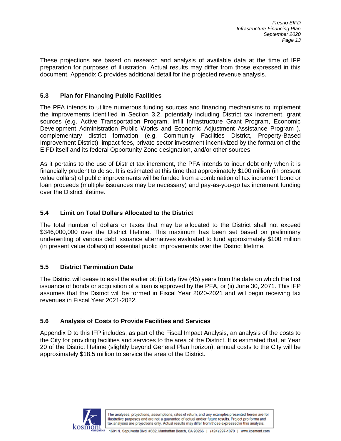These projections are based on research and analysis of available data at the time of IFP preparation for purposes of illustration. Actual results may differ from those expressed in this document. Appendix C provides additional detail for the projected revenue analysis.

#### **5.3 Plan for Financing Public Facilities**

The PFA intends to utilize numerous funding sources and financing mechanisms to implement the improvements identified in Section 3.2, potentially including District tax increment, grant sources (e.g. Active Transportation Program, Infill Infrastructure Grant Program, Economic Development Administration Public Works and Economic Adjustment Assistance Program ), complementary district formation (e.g. Community Facilities District, Property-Based Improvement District), impact fees, private sector investment incentivized by the formation of the EIFD itself and its federal Opportunity Zone designation, and/or other sources.

As it pertains to the use of District tax increment, the PFA intends to incur debt only when it is financially prudent to do so. It is estimated at this time that approximately \$100 million (in present value dollars) of public improvements will be funded from a combination of tax increment bond or loan proceeds (multiple issuances may be necessary) and pay-as-you-go tax increment funding over the District lifetime.

#### **5.4 Limit on Total Dollars Allocated to the District**

The total number of dollars or taxes that may be allocated to the District shall not exceed \$346,000,000 over the District lifetime. This maximum has been set based on preliminary underwriting of various debt issuance alternatives evaluated to fund approximately \$100 million (in present value dollars) of essential public improvements over the District lifetime.

#### **5.5 District Termination Date**

The District will cease to exist the earlier of: (i) forty five (45) years from the date on which the first issuance of bonds or acquisition of a loan is approved by the PFA, or (ii) June 30, 2071. This IFP assumes that the District will be formed in Fiscal Year 2020-2021 and will begin receiving tax revenues in Fiscal Year 2021-2022.

#### **5.6 Analysis of Costs to Provide Facilities and Services**

Appendix D to this IFP includes, as part of the Fiscal Impact Analysis, an analysis of the costs to the City for providing facilities and services to the area of the District. It is estimated that, at Year 20 of the District lifetime (slightly beyond General Plan horizon), annual costs to the City will be approximately \$18.5 million to service the area of the District.

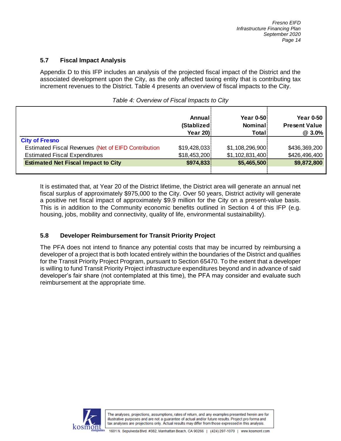#### **5.7 Fiscal Impact Analysis**

Appendix D to this IFP includes an analysis of the projected fiscal impact of the District and the associated development upon the City, as the only affected taxing entity that is contributing tax increment revenues to the District. Table 4 presents an overview of fiscal impacts to the City.

|                                                            | Annual<br>(Stablized)<br>Year 20) | <b>Year 0-50</b><br>Nominal<br>Total | <b>Year 0-50</b><br><b>Present Value</b><br>@ 3.0% |
|------------------------------------------------------------|-----------------------------------|--------------------------------------|----------------------------------------------------|
| <b>City of Fresno</b>                                      |                                   |                                      |                                                    |
| <b>Estimated Fiscal Revenues (Net of EIFD Contribution</b> | \$19,428,033                      | \$1,108,296,900                      | \$436,369,200                                      |
| <b>Estimated Fiscal Expenditures</b>                       | \$18,453,200                      | \$1,102,831,400                      | \$426,496,400                                      |
| <b>Estimated Net Fiscal Impact to City</b>                 | \$974,833                         | \$5,465,500                          | \$9,872,800                                        |
|                                                            |                                   |                                      |                                                    |

#### *Table 4: Overview of Fiscal Impacts to City*

It is estimated that, at Year 20 of the District lifetime, the District area will generate an annual net fiscal surplus of approximately \$975,000 to the City. Over 50 years, District activity will generate a positive net fiscal impact of approximately \$9.9 million for the City on a present-value basis. This is in addition to the Community economic benefits outlined in Section 4 of this IFP (e.g. housing, jobs, mobility and connectivity, quality of life, environmental sustainability).

#### **5.8 Developer Reimbursement for Transit Priority Project**

The PFA does not intend to finance any potential costs that may be incurred by reimbursing a developer of a project that is both located entirely within the boundaries of the District and qualifies for the Transit Priority Project Program, pursuant to Section 65470. To the extent that a developer is willing to fund Transit Priority Project infrastructure expenditures beyond and in advance of said developer's fair share (not contemplated at this time), the PFA may consider and evaluate such reimbursement at the appropriate time.

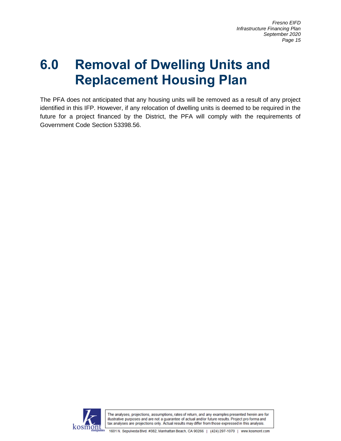## **6.0 Removal of Dwelling Units and Replacement Housing Plan**

The PFA does not anticipated that any housing units will be removed as a result of any project identified in this IFP. However, if any relocation of dwelling units is deemed to be required in the future for a project financed by the District, the PFA will comply with the requirements of Government Code Section 53398.56.

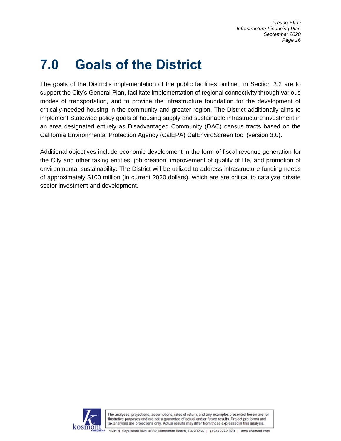# **7.0 Goals of the District**

The goals of the District's implementation of the public facilities outlined in Section 3.2 are to support the City's General Plan, facilitate implementation of regional connectivity through various modes of transportation, and to provide the infrastructure foundation for the development of critically-needed housing in the community and greater region. The District additionally aims to implement Statewide policy goals of housing supply and sustainable infrastructure investment in an area designated entirely as Disadvantaged Community (DAC) census tracts based on the California Environmental Protection Agency (CalEPA) CalEnviroScreen tool (version 3.0).

Additional objectives include economic development in the form of fiscal revenue generation for the City and other taxing entities, job creation, improvement of quality of life, and promotion of environmental sustainability. The District will be utilized to address infrastructure funding needs of approximately \$100 million (in current 2020 dollars), which are are critical to catalyze private sector investment and development.